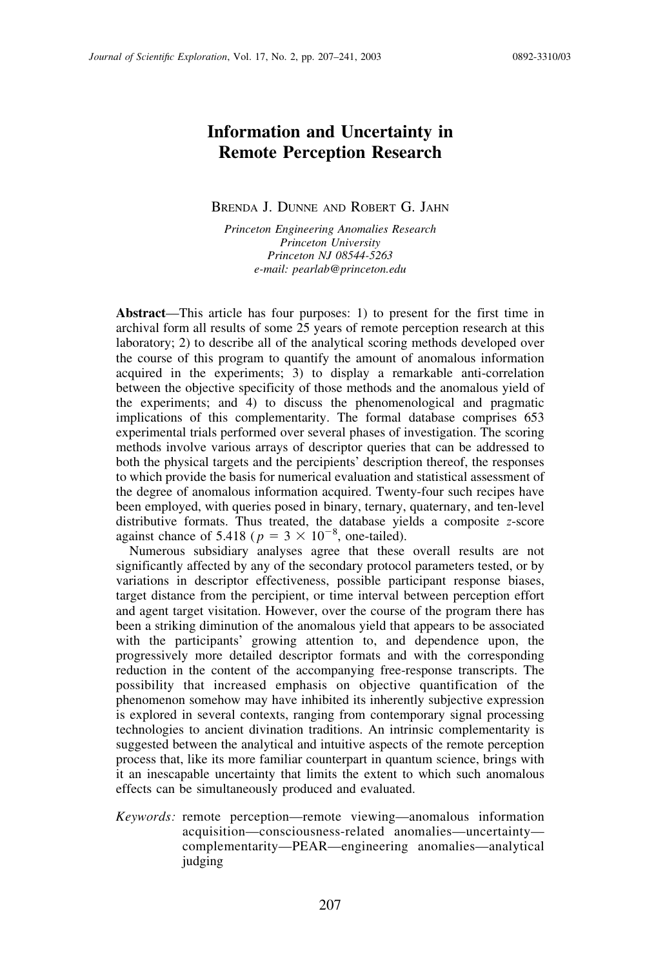# Information and Uncertainty in Remote Perception Research

BRENDA J. DUNNE AND ROBERT G. JAHN

Princeton Engineering Anomalies Research Princeton University Princeton NJ 08544-5263 e-mail: pearlab@princeton.edu

Abstract—This article has four purposes: 1) to present for the first time in archival form all results of some 25 years of remote perception research at this laboratory; 2) to describe all of the analytical scoring methods developed over the course of this program to quantify the amount of anomalous information acquired in the experiments; 3) to display a remarkable anti-correlation between the objective specificity of those methods and the anomalous yield of the experiments; and 4) to discuss the phenomenological and pragmatic implications of this complementarity. The formal database comprises 653 experimental trials performed over several phases of investigation. The scoring methods involve various arrays of descriptor queries that can be addressed to both the physical targets and the percipients' description thereof, the responses to which provide the basis for numerical evaluation and statistical assessment of the degree of anomalous information acquired. Twenty-four such recipes have been employed, with queries posed in binary, ternary, quaternary, and ten-level distributive formats. Thus treated, the database yields a composite z-score against chance of 5.418 ( $p = 3 \times 10^{-8}$ , one-tailed).

Numerous subsidiary analyses agree that these overall results are not significantly affected by any of the secondary protocol parameters tested, or by variations in descriptor effectiveness, possible participant response biases, target distance from the percipient, or time interval between perception effort and agent target visitation. However, over the course of the program there has been a striking diminution of the anomalous yield that appears to be associated with the participants' growing attention to, and dependence upon, the progressively more detailed descriptor formats and with the corresponding reduction in the content of the accompanying free-response transcripts. The possibility that increased emphasis on objective quantification of the phenomenon somehow may have inhibited its inherently subjective expression is explored in several contexts, ranging from contemporary signal processing technologies to ancient divination traditions. An intrinsic complementarity is suggested between the analytical and intuitive aspects of the remote perception process that, like its more familiar counterpart in quantum science, brings with it an inescapable uncertainty that limits the extent to which such anomalous effects can be simultaneously produced and evaluated.

Keywords: remote perception—remote viewing—anomalous information acquisition—consciousness-related anomalies—uncertainty complementarity—PEAR—engineering anomalies—analytical judging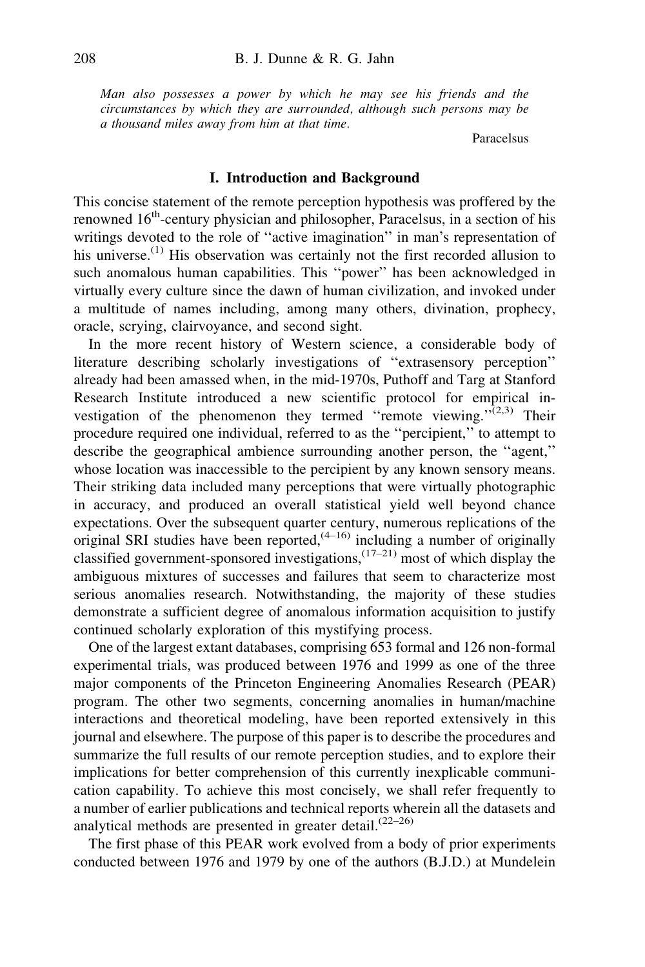Man also possesses a power by which he may see his friends and the circumstances by which they are surrounded, although such persons may be a thousand miles away from him at that time.

Paracelsus

#### I. Introduction and Background

This concise statement of the remote perception hypothesis was proffered by the renowned  $16<sup>th</sup>$ -century physician and philosopher, Paracelsus, in a section of his writings devoted to the role of "active imagination" in man's representation of his universe.<sup>(1)</sup> His observation was certainly not the first recorded allusion to such anomalous human capabilities. This ''power'' has been acknowledged in virtually every culture since the dawn of human civilization, and invoked under a multitude of names including, among many others, divination, prophecy, oracle, scrying, clairvoyance, and second sight.

In the more recent history of Western science, a considerable body of literature describing scholarly investigations of ''extrasensory perception'' already had been amassed when, in the mid-1970s, Puthoff and Targ at Stanford Research Institute introduced a new scientific protocol for empirical investigation of the phenomenon they termed "remote viewing."<sup>(2,3)</sup> Their procedure required one individual, referred to as the ''percipient,'' to attempt to describe the geographical ambience surrounding another person, the ''agent,'' whose location was inaccessible to the percipient by any known sensory means. Their striking data included many perceptions that were virtually photographic in accuracy, and produced an overall statistical yield well beyond chance expectations. Over the subsequent quarter century, numerous replications of the original SRI studies have been reported,  $(4-16)$  including a number of originally classified government-sponsored investigations,  $(17-21)$  most of which display the ambiguous mixtures of successes and failures that seem to characterize most serious anomalies research. Notwithstanding, the majority of these studies demonstrate a sufficient degree of anomalous information acquisition to justify continued scholarly exploration of this mystifying process.

One of the largest extant databases, comprising 653 formal and 126 non-formal experimental trials, was produced between 1976 and 1999 as one of the three major components of the Princeton Engineering Anomalies Research (PEAR) program. The other two segments, concerning anomalies in human/machine interactions and theoretical modeling, have been reported extensively in this journal and elsewhere. The purpose of this paper is to describe the procedures and summarize the full results of our remote perception studies, and to explore their implications for better comprehension of this currently inexplicable communication capability. To achieve this most concisely, we shall refer frequently to a number of earlier publications and technical reports wherein all the datasets and analytical methods are presented in greater detail.<sup>(22-26)</sup>

The first phase of this PEAR work evolved from a body of prior experiments conducted between 1976 and 1979 by one of the authors (B.J.D.) at Mundelein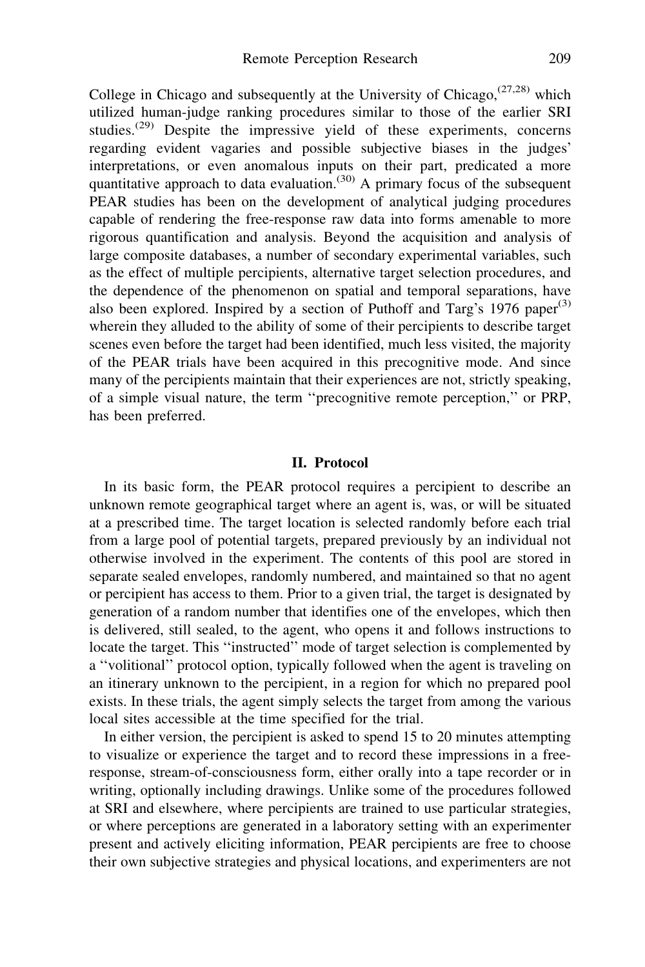College in Chicago and subsequently at the University of Chicago,  $(27,28)$  which utilized human-judge ranking procedures similar to those of the earlier SRI studies.<sup>(29)</sup> Despite the impressive yield of these experiments, concerns regarding evident vagaries and possible subjective biases in the judges' interpretations, or even anomalous inputs on their part, predicated a more quantitative approach to data evaluation.<sup> $(30)$ </sup> A primary focus of the subsequent PEAR studies has been on the development of analytical judging procedures capable of rendering the free-response raw data into forms amenable to more rigorous quantification and analysis. Beyond the acquisition and analysis of large composite databases, a number of secondary experimental variables, such as the effect of multiple percipients, alternative target selection procedures, and the dependence of the phenomenon on spatial and temporal separations, have also been explored. Inspired by a section of Puthoff and Targ's 1976 paper<sup>(3)</sup> wherein they alluded to the ability of some of their percipients to describe target scenes even before the target had been identified, much less visited, the majority of the PEAR trials have been acquired in this precognitive mode. And since many of the percipients maintain that their experiences are not, strictly speaking, of a simple visual nature, the term ''precognitive remote perception,'' or PRP, has been preferred.

## II. Protocol

In its basic form, the PEAR protocol requires a percipient to describe an unknown remote geographical target where an agent is, was, or will be situated at a prescribed time. The target location is selected randomly before each trial from a large pool of potential targets, prepared previously by an individual not otherwise involved in the experiment. The contents of this pool are stored in separate sealed envelopes, randomly numbered, and maintained so that no agent or percipient has access to them. Prior to a given trial, the target is designated by generation of a random number that identifies one of the envelopes, which then is delivered, still sealed, to the agent, who opens it and follows instructions to locate the target. This ''instructed'' mode of target selection is complemented by a ''volitional'' protocol option, typically followed when the agent is traveling on an itinerary unknown to the percipient, in a region for which no prepared pool exists. In these trials, the agent simply selects the target from among the various local sites accessible at the time specified for the trial.

In either version, the percipient is asked to spend 15 to 20 minutes attempting to visualize or experience the target and to record these impressions in a freeresponse, stream-of-consciousness form, either orally into a tape recorder or in writing, optionally including drawings. Unlike some of the procedures followed at SRI and elsewhere, where percipients are trained to use particular strategies, or where perceptions are generated in a laboratory setting with an experimenter present and actively eliciting information, PEAR percipients are free to choose their own subjective strategies and physical locations, and experimenters are not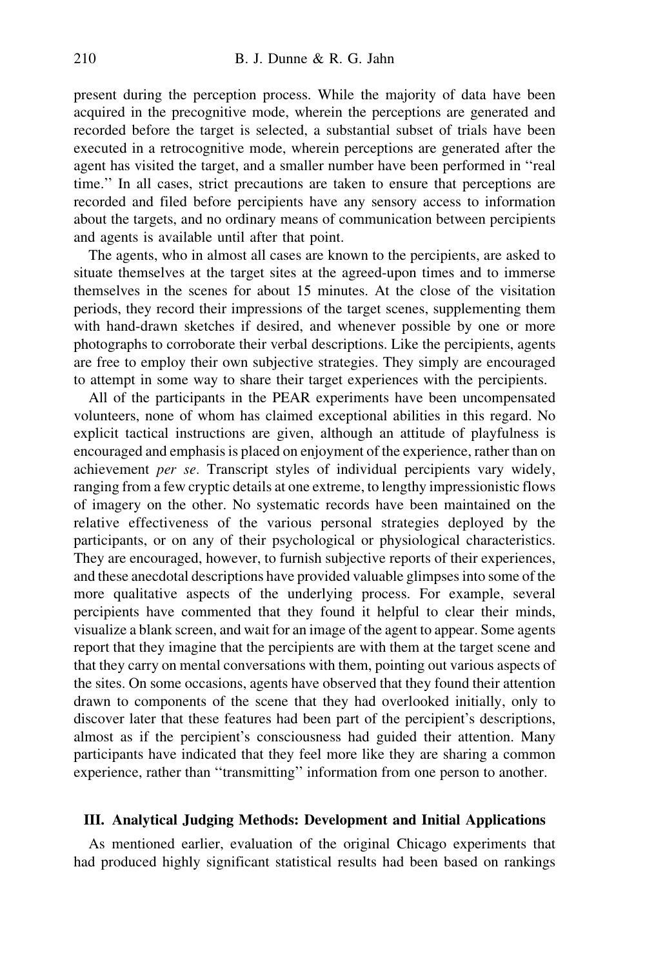present during the perception process. While the majority of data have been acquired in the precognitive mode, wherein the perceptions are generated and recorded before the target is selected, a substantial subset of trials have been executed in a retrocognitive mode, wherein perceptions are generated after the agent has visited the target, and a smaller number have been performed in ''real time.'' In all cases, strict precautions are taken to ensure that perceptions are recorded and filed before percipients have any sensory access to information about the targets, and no ordinary means of communication between percipients and agents is available until after that point.

The agents, who in almost all cases are known to the percipients, are asked to situate themselves at the target sites at the agreed-upon times and to immerse themselves in the scenes for about 15 minutes. At the close of the visitation periods, they record their impressions of the target scenes, supplementing them with hand-drawn sketches if desired, and whenever possible by one or more photographs to corroborate their verbal descriptions. Like the percipients, agents are free to employ their own subjective strategies. They simply are encouraged to attempt in some way to share their target experiences with the percipients.

All of the participants in the PEAR experiments have been uncompensated volunteers, none of whom has claimed exceptional abilities in this regard. No explicit tactical instructions are given, although an attitude of playfulness is encouraged and emphasis is placed on enjoyment of the experience, rather than on achievement per se. Transcript styles of individual percipients vary widely, ranging from a few cryptic details at one extreme, to lengthy impressionistic flows of imagery on the other. No systematic records have been maintained on the relative effectiveness of the various personal strategies deployed by the participants, or on any of their psychological or physiological characteristics. They are encouraged, however, to furnish subjective reports of their experiences, and these anecdotal descriptions have provided valuable glimpses into some of the more qualitative aspects of the underlying process. For example, several percipients have commented that they found it helpful to clear their minds, visualize a blank screen, and wait for an image of the agent to appear. Some agents report that they imagine that the percipients are with them at the target scene and that they carry on mental conversations with them, pointing out various aspects of the sites. On some occasions, agents have observed that they found their attention drawn to components of the scene that they had overlooked initially, only to discover later that these features had been part of the percipient's descriptions, almost as if the percipient's consciousness had guided their attention. Many participants have indicated that they feel more like they are sharing a common experience, rather than ''transmitting'' information from one person to another.

### III. Analytical Judging Methods: Development and Initial Applications

As mentioned earlier, evaluation of the original Chicago experiments that had produced highly significant statistical results had been based on rankings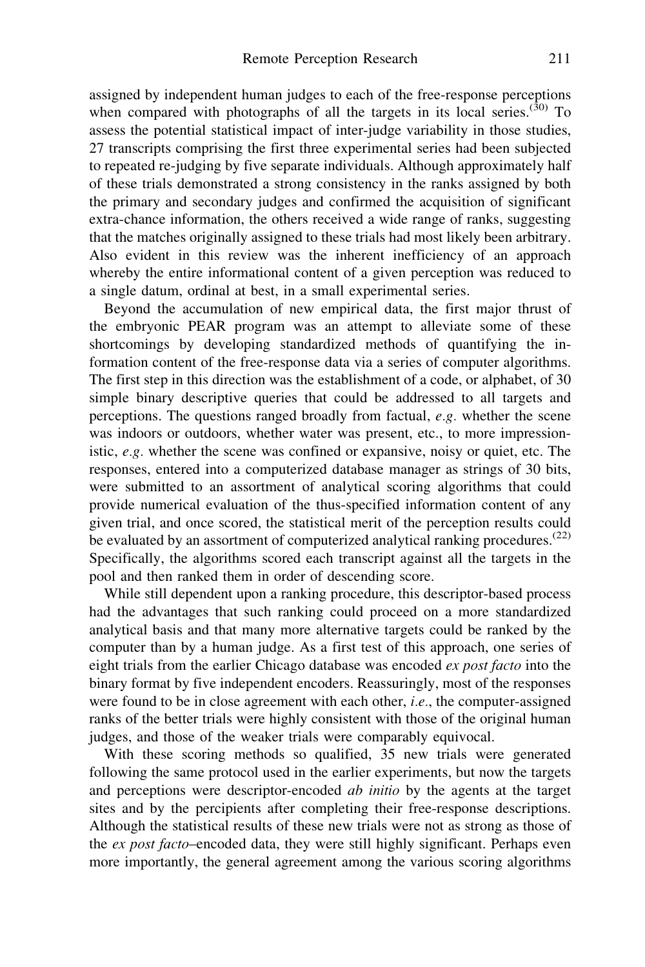assigned by independent human judges to each of the free-response perceptions when compared with photographs of all the targets in its local series.<sup> $(30)$ </sup> To assess the potential statistical impact of inter-judge variability in those studies, 27 transcripts comprising the first three experimental series had been subjected to repeated re-judging by five separate individuals. Although approximately half of these trials demonstrated a strong consistency in the ranks assigned by both the primary and secondary judges and confirmed the acquisition of significant extra-chance information, the others received a wide range of ranks, suggesting that the matches originally assigned to these trials had most likely been arbitrary. Also evident in this review was the inherent inefficiency of an approach whereby the entire informational content of a given perception was reduced to a single datum, ordinal at best, in a small experimental series.

Beyond the accumulation of new empirical data, the first major thrust of the embryonic PEAR program was an attempt to alleviate some of these shortcomings by developing standardized methods of quantifying the information content of the free-response data via a series of computer algorithms. The first step in this direction was the establishment of a code, or alphabet, of 30 simple binary descriptive queries that could be addressed to all targets and perceptions. The questions ranged broadly from factual, e.g. whether the scene was indoors or outdoors, whether water was present, etc., to more impressionistic, e.g. whether the scene was confined or expansive, noisy or quiet, etc. The responses, entered into a computerized database manager as strings of 30 bits, were submitted to an assortment of analytical scoring algorithms that could provide numerical evaluation of the thus-specified information content of any given trial, and once scored, the statistical merit of the perception results could be evaluated by an assortment of computerized analytical ranking procedures.<sup> $(22)$ </sup> Specifically, the algorithms scored each transcript against all the targets in the pool and then ranked them in order of descending score.

While still dependent upon a ranking procedure, this descriptor-based process had the advantages that such ranking could proceed on a more standardized analytical basis and that many more alternative targets could be ranked by the computer than by a human judge. As a first test of this approach, one series of eight trials from the earlier Chicago database was encoded ex post facto into the binary format by five independent encoders. Reassuringly, most of the responses were found to be in close agreement with each other, i.e., the computer-assigned ranks of the better trials were highly consistent with those of the original human judges, and those of the weaker trials were comparably equivocal.

With these scoring methods so qualified, 35 new trials were generated following the same protocol used in the earlier experiments, but now the targets and perceptions were descriptor-encoded ab initio by the agents at the target sites and by the percipients after completing their free-response descriptions. Although the statistical results of these new trials were not as strong as those of the ex post facto–encoded data, they were still highly significant. Perhaps even more importantly, the general agreement among the various scoring algorithms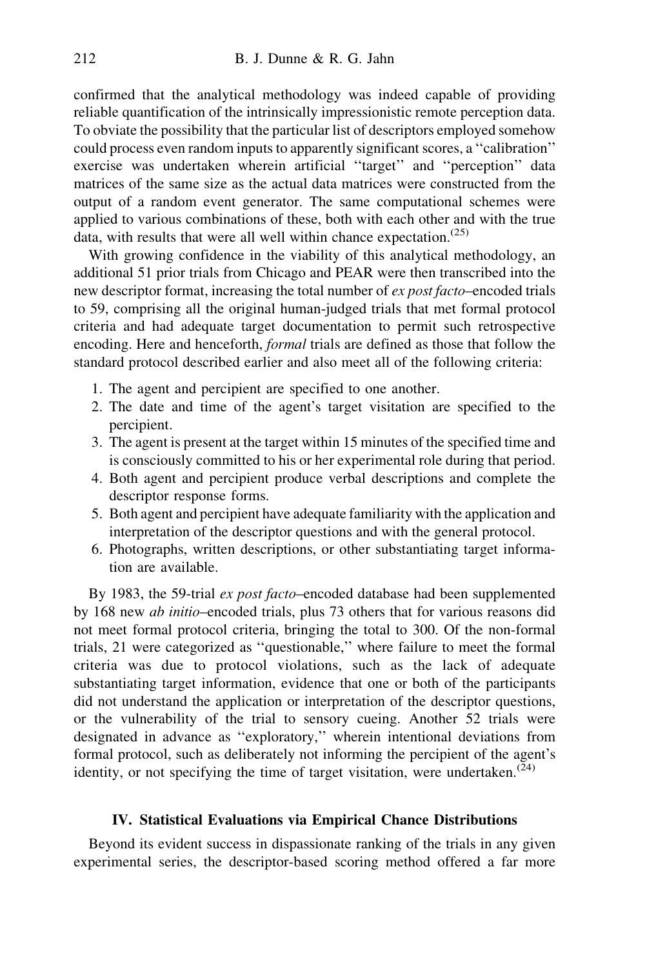confirmed that the analytical methodology was indeed capable of providing reliable quantification of the intrinsically impressionistic remote perception data. To obviate the possibility that the particular list of descriptors employed somehow could process even random inputs to apparently significant scores, a ''calibration'' exercise was undertaken wherein artificial ''target'' and ''perception'' data matrices of the same size as the actual data matrices were constructed from the output of a random event generator. The same computational schemes were applied to various combinations of these, both with each other and with the true data, with results that were all well within chance expectation.<sup> $(25)$ </sup>

With growing confidence in the viability of this analytical methodology, an additional 51 prior trials from Chicago and PEAR were then transcribed into the new descriptor format, increasing the total number of ex post facto–encoded trials to 59, comprising all the original human-judged trials that met formal protocol criteria and had adequate target documentation to permit such retrospective encoding. Here and henceforth, formal trials are defined as those that follow the standard protocol described earlier and also meet all of the following criteria:

- 1. The agent and percipient are specified to one another.
- 2. The date and time of the agent's target visitation are specified to the percipient.
- 3. The agent is present at the target within 15 minutes of the specified time and is consciously committed to his or her experimental role during that period.
- 4. Both agent and percipient produce verbal descriptions and complete the descriptor response forms.
- 5. Both agent and percipient have adequate familiarity with the application and interpretation of the descriptor questions and with the general protocol.
- 6. Photographs, written descriptions, or other substantiating target information are available.

By 1983, the 59-trial ex post facto–encoded database had been supplemented by 168 new ab initio–encoded trials, plus 73 others that for various reasons did not meet formal protocol criteria, bringing the total to 300. Of the non-formal trials, 21 were categorized as ''questionable,'' where failure to meet the formal criteria was due to protocol violations, such as the lack of adequate substantiating target information, evidence that one or both of the participants did not understand the application or interpretation of the descriptor questions, or the vulnerability of the trial to sensory cueing. Another 52 trials were designated in advance as ''exploratory,'' wherein intentional deviations from formal protocol, such as deliberately not informing the percipient of the agent's identity, or not specifying the time of target visitation, were undertaken.<sup> $(24)$ </sup>

#### IV. Statistical Evaluations via Empirical Chance Distributions

Beyond its evident success in dispassionate ranking of the trials in any given experimental series, the descriptor-based scoring method offered a far more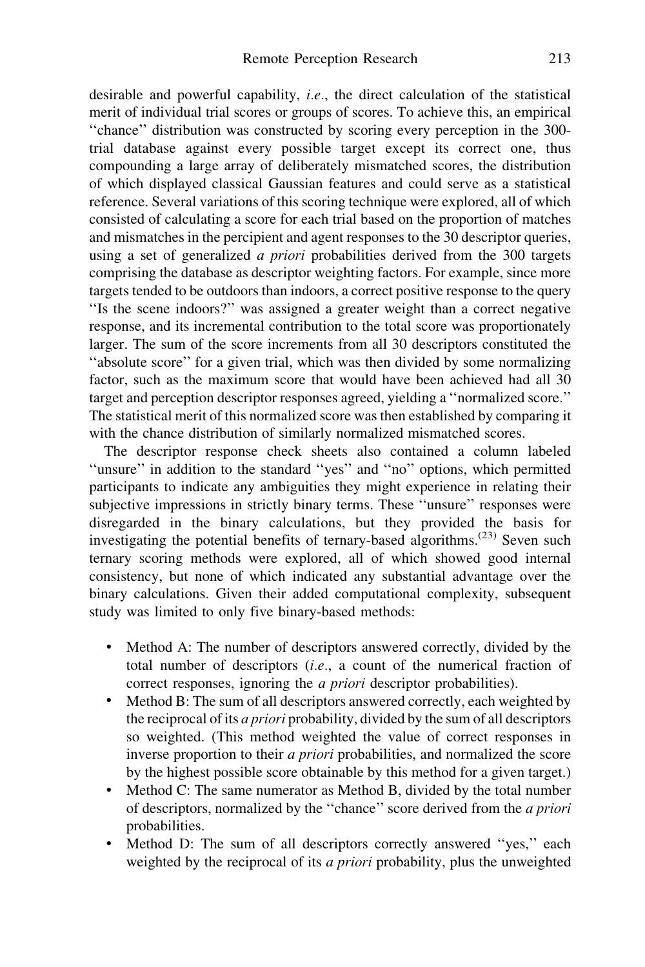desirable and powerful capability, i.e., the direct calculation of the statistical merit of individual trial scores or groups of scores. To achieve this, an empirical ''chance'' distribution was constructed by scoring every perception in the 300 trial database against every possible target except its correct one, thus compounding a large array of deliberately mismatched scores, the distribution of which displayed classical Gaussian features and could serve as a statistical reference. Several variations of this scoring technique were explored, all of which consisted of calculating a score for each trial based on the proportion of matches and mismatches in the percipient and agent responses to the 30 descriptor queries, using a set of generalized a priori probabilities derived from the 300 targets comprising the database as descriptor weighting factors. For example, since more targets tended to be outdoors than indoors, a correct positive response to the query ''Is the scene indoors?'' was assigned a greater weight than a correct negative response, and its incremental contribution to the total score was proportionately larger. The sum of the score increments from all 30 descriptors constituted the ''absolute score'' for a given trial, which was then divided by some normalizing factor, such as the maximum score that would have been achieved had all 30 target and perception descriptor responses agreed, yielding a ''normalized score.'' The statistical merit of this normalized score was then established by comparing it with the chance distribution of similarly normalized mismatched scores.

The descriptor response check sheets also contained a column labeled ''unsure'' in addition to the standard ''yes'' and ''no'' options, which permitted participants to indicate any ambiguities they might experience in relating their subjective impressions in strictly binary terms. These ''unsure'' responses were disregarded in the binary calculations, but they provided the basis for investigating the potential benefits of ternary-based algorithms.<sup> $(23)$ </sup> Seven such ternary scoring methods were explored, all of which showed good internal consistency, but none of which indicated any substantial advantage over the binary calculations. Given their added computational complexity, subsequent study was limited to only five binary-based methods:

- Method A: The number of descriptors answered correctly, divided by the total number of descriptors (i.e., a count of the numerical fraction of correct responses, ignoring the a priori descriptor probabilities).
- Method B: The sum of all descriptors answered correctly, each weighted by the reciprocal of its a priori probability, divided by the sum of all descriptors so weighted. (This method weighted the value of correct responses in inverse proportion to their a priori probabilities, and normalized the score by the highest possible score obtainable by this method for a given target.)
- Method C: The same numerator as Method B, divided by the total number of descriptors, normalized by the ''chance'' score derived from the a priori probabilities.
- Method D: The sum of all descriptors correctly answered ''yes,'' each weighted by the reciprocal of its a priori probability, plus the unweighted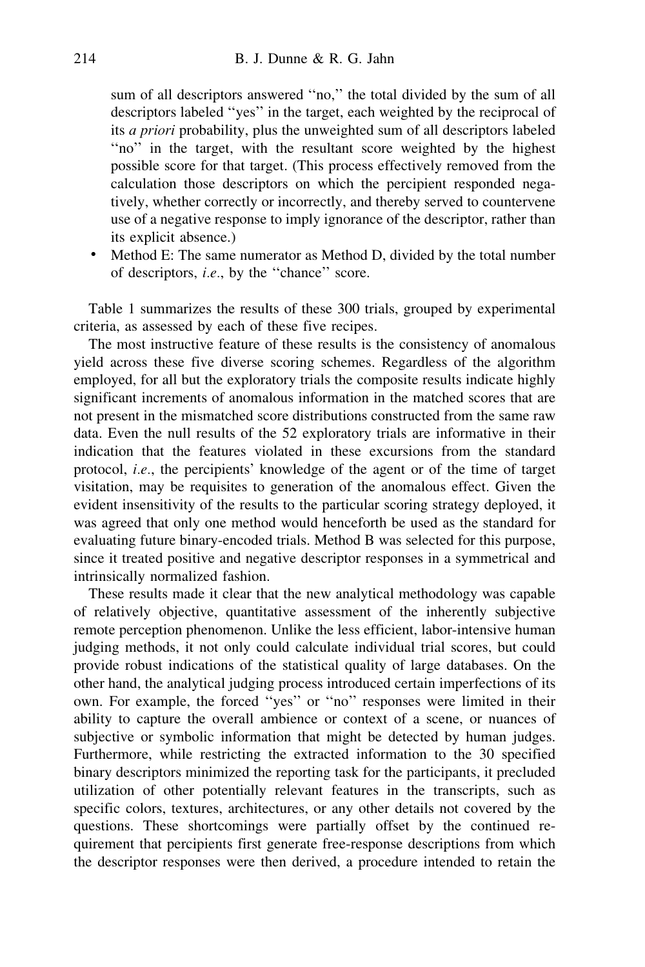sum of all descriptors answered "no," the total divided by the sum of all descriptors labeled ''yes'' in the target, each weighted by the reciprocal of its a priori probability, plus the unweighted sum of all descriptors labeled "no" in the target, with the resultant score weighted by the highest possible score for that target. (This process effectively removed from the calculation those descriptors on which the percipient responded negatively, whether correctly or incorrectly, and thereby served to countervene use of a negative response to imply ignorance of the descriptor, rather than its explicit absence.)

 Method E: The same numerator as Method D, divided by the total number of descriptors, i.e., by the ''chance'' score.

Table 1 summarizes the results of these 300 trials, grouped by experimental criteria, as assessed by each of these five recipes.

The most instructive feature of these results is the consistency of anomalous yield across these five diverse scoring schemes. Regardless of the algorithm employed, for all but the exploratory trials the composite results indicate highly significant increments of anomalous information in the matched scores that are not present in the mismatched score distributions constructed from the same raw data. Even the null results of the 52 exploratory trials are informative in their indication that the features violated in these excursions from the standard protocol, i.e., the percipients' knowledge of the agent or of the time of target visitation, may be requisites to generation of the anomalous effect. Given the evident insensitivity of the results to the particular scoring strategy deployed, it was agreed that only one method would henceforth be used as the standard for evaluating future binary-encoded trials. Method B was selected for this purpose, since it treated positive and negative descriptor responses in a symmetrical and intrinsically normalized fashion.

These results made it clear that the new analytical methodology was capable of relatively objective, quantitative assessment of the inherently subjective remote perception phenomenon. Unlike the less efficient, labor-intensive human judging methods, it not only could calculate individual trial scores, but could provide robust indications of the statistical quality of large databases. On the other hand, the analytical judging process introduced certain imperfections of its own. For example, the forced ''yes'' or ''no'' responses were limited in their ability to capture the overall ambience or context of a scene, or nuances of subjective or symbolic information that might be detected by human judges. Furthermore, while restricting the extracted information to the 30 specified binary descriptors minimized the reporting task for the participants, it precluded utilization of other potentially relevant features in the transcripts, such as specific colors, textures, architectures, or any other details not covered by the questions. These shortcomings were partially offset by the continued requirement that percipients first generate free-response descriptions from which the descriptor responses were then derived, a procedure intended to retain the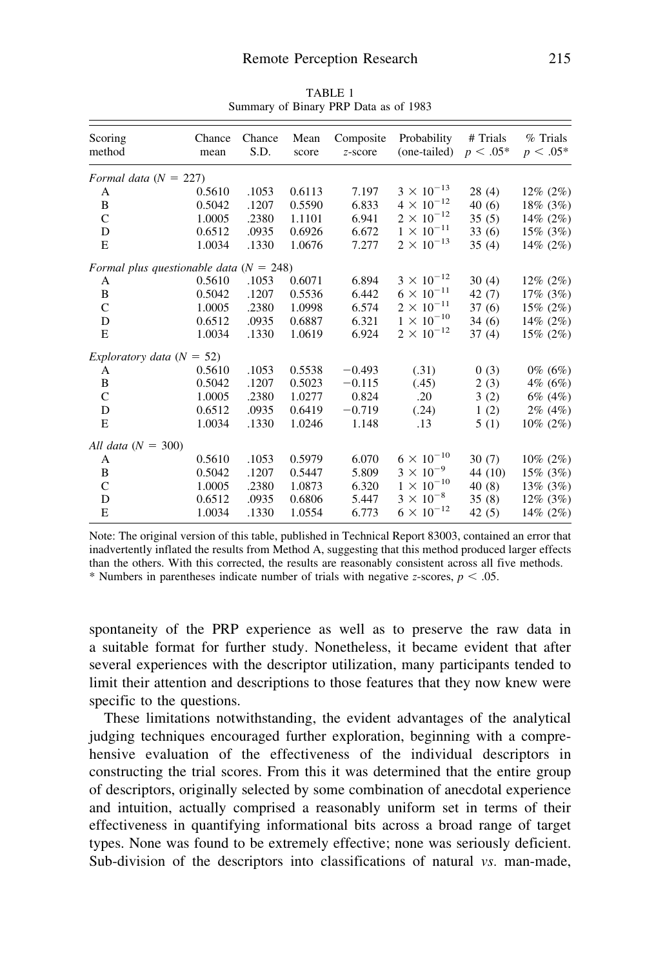| Scoring<br>method                           | Chance<br>mean | Chance<br>S.D. | Mean<br>score | Composite<br>z-score | Probability<br>(one-tailed) | # Trials<br>$p < .05*$ | % Trials<br>$p < .05*$ |
|---------------------------------------------|----------------|----------------|---------------|----------------------|-----------------------------|------------------------|------------------------|
| Formal data $(N = 227)$                     |                |                |               |                      |                             |                        |                        |
| А                                           | 0.5610         | .1053          | 0.6113        | 7.197                | $3 \times 10^{-13}$         | 28(4)                  | $12\% (2\%)$           |
| B                                           | 0.5042         | .1207          | 0.5590        | 6.833                | $4 \times 10^{-12}$         | 40(6)                  | 18% (3%)               |
| $\mathsf{C}$                                | 1.0005         | .2380          | 1.1101        | 6.941                | $2\times10^{-12}$           | 35(5)                  | $14\% (2\%)$           |
| D                                           | 0.6512         | .0935          | 0.6926        | 6.672                | $1 \times 10^{-11}$         | 33(6)                  | $15\%$ (3%)            |
| E                                           | 1.0034         | .1330          | 1.0676        | 7.277                | $2 \times 10^{-13}$         | 35(4)                  | $14\% (2\%)$           |
| Formal plus questionable data ( $N = 248$ ) |                |                |               |                      |                             |                        |                        |
| A                                           | 0.5610         | .1053          | 0.6071        | 6.894                | $3 \times 10^{-12}$         | 30(4)                  | $12\% (2\%)$           |
| B                                           | 0.5042         | .1207          | 0.5536        | 6.442                | $6 \times 10^{-11}$         | 42(7)                  | 17% (3%)               |
| $\mathsf{C}$                                | 1.0005         | .2380          | 1.0998        | 6.574                | $2 \times 10^{-11}$         | 37(6)                  | $15\% (2\%)$           |
| D                                           | 0.6512         | .0935          | 0.6887        | 6.321                | $1 \times 10^{-10}$         | 34(6)                  | $14\% (2\%)$           |
| E                                           | 1.0034         | .1330          | 1.0619        | 6.924                | $2 \times 10^{-12}$         | 37(4)                  | 15% (2%)               |
| Exploratory data $(N = 52)$                 |                |                |               |                      |                             |                        |                        |
| A                                           | 0.5610         | .1053          | 0.5538        | $-0.493$             | (.31)                       | 0(3)                   | $0\%~(6\%)$            |
| B                                           | 0.5042         | .1207          | 0.5023        | $-0.115$             | (.45)                       | 2(3)                   | $4\%~(6\%)$            |
| $\mathsf{C}$                                | 1.0005         | .2380          | 1.0277        | 0.824                | .20                         | 3(2)                   | $6\%~(4\%)$            |
| D                                           | 0.6512         | .0935          | 0.6419        | $-0.719$             | (.24)                       | 1(2)                   | $2\%$ (4%)             |
| E                                           | 1.0034         | .1330          | 1.0246        | 1.148                | .13                         | 5(1)                   | $10\% (2\%)$           |
| All data $(N = 300)$                        |                |                |               |                      |                             |                        |                        |
| A                                           | 0.5610         | .1053          | 0.5979        | 6.070                | $6 \times 10^{-10}$         | 30(7)                  | $10\% (2\%)$           |
| B                                           | 0.5042         | .1207          | 0.5447        | 5.809                | $3 \times 10^{-9}$          | 44 (10)                | 15% (3%)               |
| $\mathbf C$                                 | 1.0005         | .2380          | 1.0873        | 6.320                | $1 \times 10^{-10}$         | 40(8)                  | $13\%$ (3%)            |
| D                                           | 0.6512         | .0935          | 0.6806        | 5.447                | $3 \times 10^{-8}$          | 35(8)                  | $12\%$ (3%)            |
| E                                           | 1.0034         | .1330          | 1.0554        | 6.773                | $6 \times 10^{-12}$         | 42 (5)                 | $14\% (2\%)$           |
|                                             |                |                |               |                      |                             |                        |                        |

TABLE 1 Summary of Binary PRP Data as of 1983

Note: The original version of this table, published in Technical Report 83003, contained an error that inadvertently inflated the results from Method A, suggesting that this method produced larger effects than the others. With this corrected, the results are reasonably consistent across all five methods. \* Numbers in parentheses indicate number of trials with negative z-scores,  $p < .05$ .

spontaneity of the PRP experience as well as to preserve the raw data in a suitable format for further study. Nonetheless, it became evident that after several experiences with the descriptor utilization, many participants tended to limit their attention and descriptions to those features that they now knew were specific to the questions.

These limitations notwithstanding, the evident advantages of the analytical judging techniques encouraged further exploration, beginning with a comprehensive evaluation of the effectiveness of the individual descriptors in constructing the trial scores. From this it was determined that the entire group of descriptors, originally selected by some combination of anecdotal experience and intuition, actually comprised a reasonably uniform set in terms of their effectiveness in quantifying informational bits across a broad range of target types. None was found to be extremely effective; none was seriously deficient. Sub-division of the descriptors into classifications of natural vs. man-made,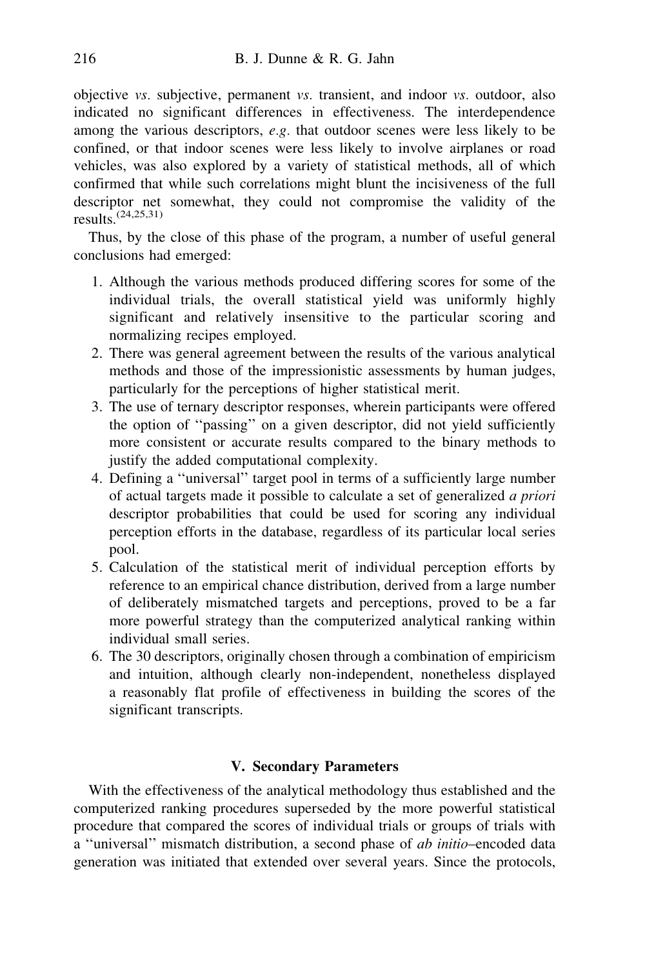objective vs. subjective, permanent vs. transient, and indoor vs. outdoor, also indicated no significant differences in effectiveness. The interdependence among the various descriptors,  $e.g.$  that outdoor scenes were less likely to be confined, or that indoor scenes were less likely to involve airplanes or road vehicles, was also explored by a variety of statistical methods, all of which confirmed that while such correlations might blunt the incisiveness of the full descriptor net somewhat, they could not compromise the validity of the results.<sup>(24,25,31)</sup>

Thus, by the close of this phase of the program, a number of useful general conclusions had emerged:

- 1. Although the various methods produced differing scores for some of the individual trials, the overall statistical yield was uniformly highly significant and relatively insensitive to the particular scoring and normalizing recipes employed.
- 2. There was general agreement between the results of the various analytical methods and those of the impressionistic assessments by human judges, particularly for the perceptions of higher statistical merit.
- 3. The use of ternary descriptor responses, wherein participants were offered the option of ''passing'' on a given descriptor, did not yield sufficiently more consistent or accurate results compared to the binary methods to justify the added computational complexity.
- 4. Defining a ''universal'' target pool in terms of a sufficiently large number of actual targets made it possible to calculate a set of generalized a priori descriptor probabilities that could be used for scoring any individual perception efforts in the database, regardless of its particular local series pool.
- 5. Calculation of the statistical merit of individual perception efforts by reference to an empirical chance distribution, derived from a large number of deliberately mismatched targets and perceptions, proved to be a far more powerful strategy than the computerized analytical ranking within individual small series.
- 6. The 30 descriptors, originally chosen through a combination of empiricism and intuition, although clearly non-independent, nonetheless displayed a reasonably flat profile of effectiveness in building the scores of the significant transcripts.

# V. Secondary Parameters

With the effectiveness of the analytical methodology thus established and the computerized ranking procedures superseded by the more powerful statistical procedure that compared the scores of individual trials or groups of trials with a ''universal'' mismatch distribution, a second phase of ab initio–encoded data generation was initiated that extended over several years. Since the protocols,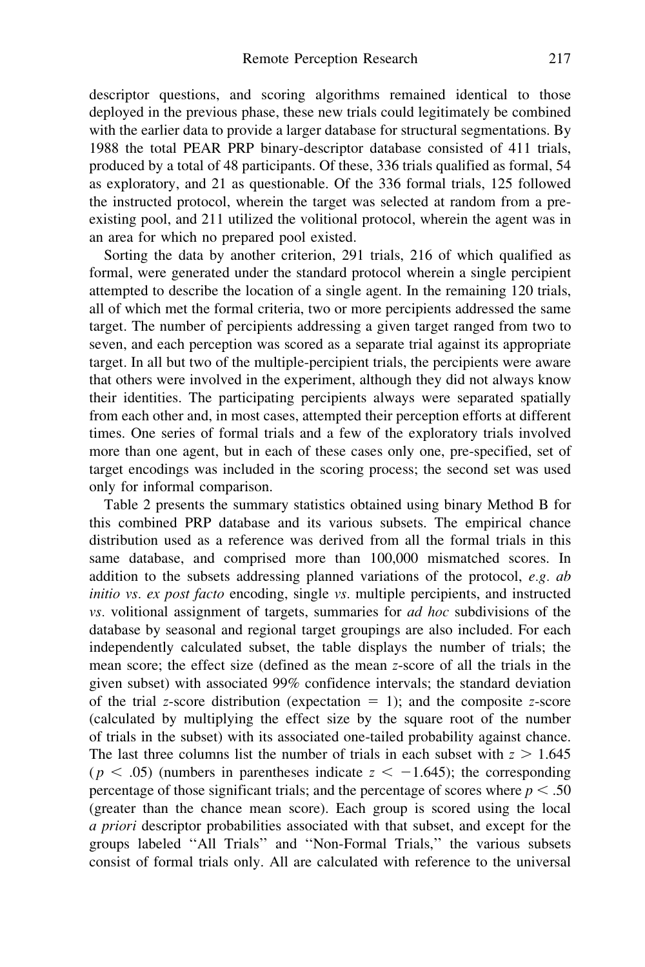descriptor questions, and scoring algorithms remained identical to those deployed in the previous phase, these new trials could legitimately be combined with the earlier data to provide a larger database for structural segmentations. By 1988 the total PEAR PRP binary-descriptor database consisted of 411 trials, produced by a total of 48 participants. Of these, 336 trials qualified as formal, 54 as exploratory, and 21 as questionable. Of the 336 formal trials, 125 followed the instructed protocol, wherein the target was selected at random from a preexisting pool, and 211 utilized the volitional protocol, wherein the agent was in an area for which no prepared pool existed.

Sorting the data by another criterion, 291 trials, 216 of which qualified as formal, were generated under the standard protocol wherein a single percipient attempted to describe the location of a single agent. In the remaining 120 trials, all of which met the formal criteria, two or more percipients addressed the same target. The number of percipients addressing a given target ranged from two to seven, and each perception was scored as a separate trial against its appropriate target. In all but two of the multiple-percipient trials, the percipients were aware that others were involved in the experiment, although they did not always know their identities. The participating percipients always were separated spatially from each other and, in most cases, attempted their perception efforts at different times. One series of formal trials and a few of the exploratory trials involved more than one agent, but in each of these cases only one, pre-specified, set of target encodings was included in the scoring process; the second set was used only for informal comparison.

Table 2 presents the summary statistics obtained using binary Method B for this combined PRP database and its various subsets. The empirical chance distribution used as a reference was derived from all the formal trials in this same database, and comprised more than 100,000 mismatched scores. In addition to the subsets addressing planned variations of the protocol, e.g. ab initio vs. ex post facto encoding, single vs. multiple percipients, and instructed vs. volitional assignment of targets, summaries for ad hoc subdivisions of the database by seasonal and regional target groupings are also included. For each independently calculated subset, the table displays the number of trials; the mean score; the effect size (defined as the mean z-score of all the trials in the given subset) with associated 99% confidence intervals; the standard deviation of the trial z-score distribution (expectation  $= 1$ ); and the composite z-score (calculated by multiplying the effect size by the square root of the number of trials in the subset) with its associated one-tailed probability against chance. The last three columns list the number of trials in each subset with  $z \ge 1.645$  $(p < .05)$  (numbers in parentheses indicate  $z < -1.645$ ); the corresponding percentage of those significant trials; and the percentage of scores where  $p < .50$ (greater than the chance mean score). Each group is scored using the local a priori descriptor probabilities associated with that subset, and except for the groups labeled ''All Trials'' and ''Non-Formal Trials,'' the various subsets consist of formal trials only. All are calculated with reference to the universal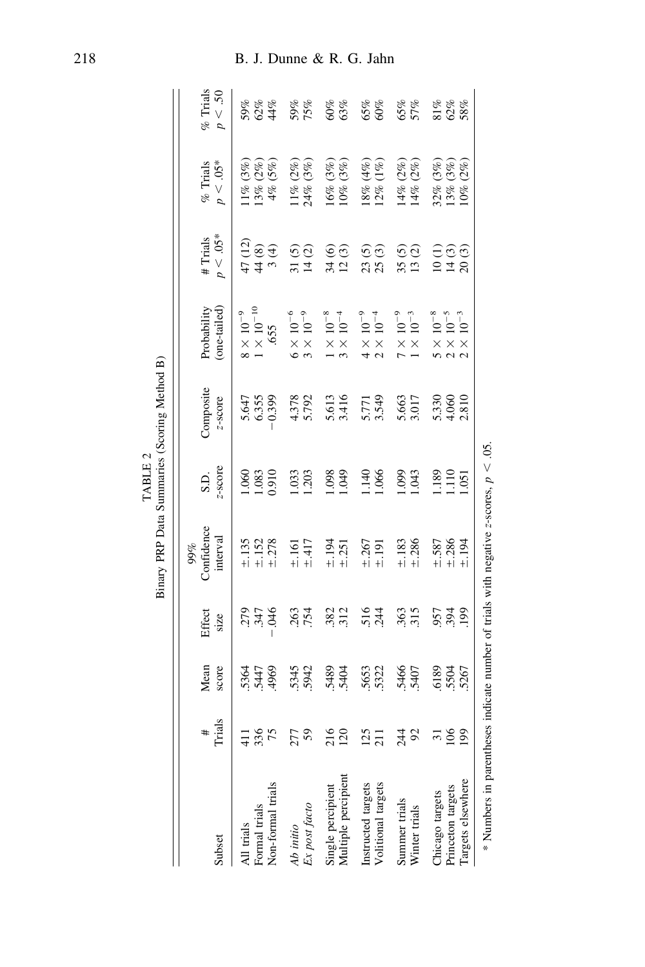| Subset                                                                                  | $\frac{4}{1}$<br>Trials            | Mean<br>score        | Effect<br>size     | Confidence<br>interval<br>99% | z-score<br>S.D.                     | Composite<br>z-score       | Probability<br>(one-tailed)                                    | $p < 0.5*$<br># Trials         | $%$ Trials<br>$p < 0.5*$                                                      | % Trials<br>p < 50 |
|-----------------------------------------------------------------------------------------|------------------------------------|----------------------|--------------------|-------------------------------|-------------------------------------|----------------------------|----------------------------------------------------------------|--------------------------------|-------------------------------------------------------------------------------|--------------------|
| Non-formal trials<br>Formal trials<br>All trials                                        | 336                                | 5447<br>4969<br>5364 | 279<br>046<br>.347 | ±.135<br>$-278$<br>±.152      | 0.910<br>$\overline{0}$<br>.083     | 5.647<br>6.355<br>$-0.399$ | $1\times10^{-10}$<br>$8\times10^{-9}$<br>.655                  | $47(12)$<br>$44(8)$<br>$45(4)$ | $1\% (3\%)$<br>13% (2%)<br>$4\%$ $(5\%)$                                      | 59%<br>62%<br>44%  |
| Ex post facto<br>Ab initio                                                              | 277<br>59                          | 5345<br>5942         | 263<br>754         | ±.417<br>±.161                | 1.203<br>.033                       | 4.378<br>5.792             | $3 \times 10^{-9}$<br>$6\times10^{-6}$                         | 31 (3)<br>14 (2)               | $1\% (2\%)$<br>24% (3%)                                                       | $59\%$<br>75%      |
| Multiple percipient<br>Single percipient                                                | 216<br>120                         | 5489<br>5404         | 382<br>312         | ±.194<br>$-251$               | 0.049<br>860.1                      | 3.416<br>5.613             | $1 \times 10^{-8}$<br>$3 \times 10^{-4}$                       | $34(6)$<br>12(3)               | 16% (3%)<br>$(3\%)$<br>10%                                                    | 63%<br>$60\%$      |
| Instructed targets<br>Volitional targets                                                | $125$<br>$211$                     | 5322<br>5653         | 54                 | ± .267<br>±.191               | $\frac{140}{1}$<br>.066             | 3.549<br>5.771             | $2 \times 10^{-4}$<br>$4 \times 10^{-9}$                       | රි ල<br>ඝ ශ                    | $\frac{18\%}{12\%}\frac{(4\%)}{(1\%)}$<br>$(1\%)$                             | 65%<br>60%         |
| Summer trials<br>Winter trials                                                          | 244                                | 5466<br>5407         | 363<br>315         | $-0.286$<br>±.183             | 1.043<br>0.099                      | 3.017<br>5.663             | $7\times10^{-9}$<br>$1 \times 10^{-3}$                         | $35(5)$<br>$13(2)$             | $\frac{14\%}{14\%}\frac{(2\%)}{(2\%)}$                                        | 65%<br>57%         |
| Targets elsewhere<br>Princeton targets<br>Chicago targets                               | $\frac{31}{106}$<br>$\overline{6}$ | 6189<br>5504<br>5267 | 957<br>394<br>199  | $-587$<br>$-0.286$<br>±.194   | 1.189<br>$\frac{110}{110}$<br>$-51$ | 2.810<br>5.330<br>4.060    | $5 \times 10^{-8}$<br>$2 \times 10^{-5}$<br>$2 \times 10^{-3}$ | පිලි<br>ඉජ දි                  | $\begin{array}{c} 32\% \ (3\%) \\ 13\% \ (3\%) \end{array}$<br>$(2\%)$<br>10% | 58%<br>81%<br>62%  |
| * Numbers in parentheses indicate number of trials with negative z-scores, $p < 0.05$ . |                                    |                      |                    |                               |                                     |                            |                                                                |                                |                                                                               |                    |

TABLE 2<br>Binary PRP Data Summaries (Scoring Method B) Binary PRP Data Summaries (Scoring Method B) TABLE 2

# 218 B. J. Dunne & R. G. Jahn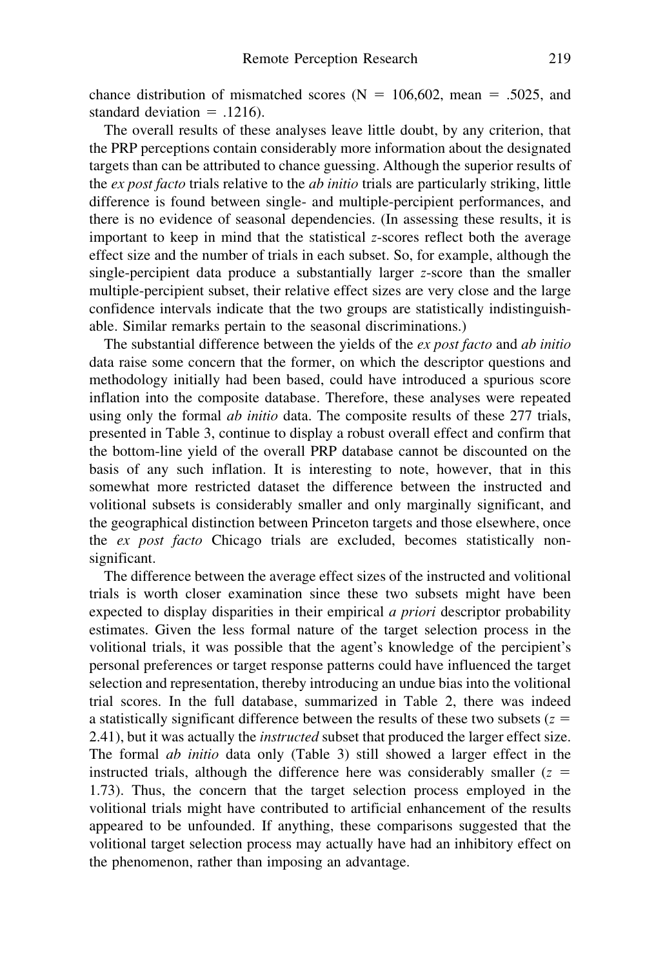chance distribution of mismatched scores ( $N = 106,602$ , mean = .5025, and standard deviation  $= .1216$ ).

The overall results of these analyses leave little doubt, by any criterion, that the PRP perceptions contain considerably more information about the designated targets than can be attributed to chance guessing. Although the superior results of the *ex post facto* trials relative to the *ab initio* trials are particularly striking, little difference is found between single- and multiple-percipient performances, and there is no evidence of seasonal dependencies. (In assessing these results, it is important to keep in mind that the statistical z-scores reflect both the average effect size and the number of trials in each subset. So, for example, although the single-percipient data produce a substantially larger z-score than the smaller multiple-percipient subset, their relative effect sizes are very close and the large confidence intervals indicate that the two groups are statistically indistinguishable. Similar remarks pertain to the seasonal discriminations.)

The substantial difference between the yields of the *ex post facto* and *ab initio* data raise some concern that the former, on which the descriptor questions and methodology initially had been based, could have introduced a spurious score inflation into the composite database. Therefore, these analyses were repeated using only the formal *ab initio* data. The composite results of these 277 trials, presented in Table 3, continue to display a robust overall effect and confirm that the bottom-line yield of the overall PRP database cannot be discounted on the basis of any such inflation. It is interesting to note, however, that in this somewhat more restricted dataset the difference between the instructed and volitional subsets is considerably smaller and only marginally significant, and the geographical distinction between Princeton targets and those elsewhere, once the ex post facto Chicago trials are excluded, becomes statistically nonsignificant.

The difference between the average effect sizes of the instructed and volitional trials is worth closer examination since these two subsets might have been expected to display disparities in their empirical a priori descriptor probability estimates. Given the less formal nature of the target selection process in the volitional trials, it was possible that the agent's knowledge of the percipient's personal preferences or target response patterns could have influenced the target selection and representation, thereby introducing an undue bias into the volitional trial scores. In the full database, summarized in Table 2, there was indeed a statistically significant difference between the results of these two subsets ( $z =$ 2.41), but it was actually the *instructed* subset that produced the larger effect size. The formal ab initio data only (Table 3) still showed a larger effect in the instructed trials, although the difference here was considerably smaller  $(z =$ 1.73). Thus, the concern that the target selection process employed in the volitional trials might have contributed to artificial enhancement of the results appeared to be unfounded. If anything, these comparisons suggested that the volitional target selection process may actually have had an inhibitory effect on the phenomenon, rather than imposing an advantage.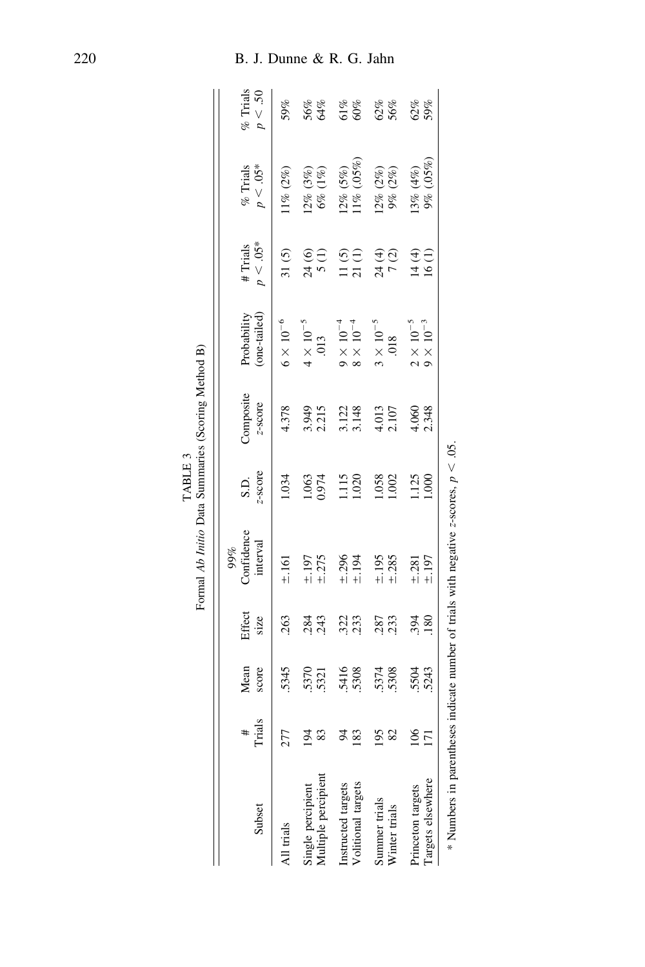| Subset                                        | $+$ Trials              | Mean<br>score | Effect<br>size    | Confidence<br>interval<br>99%                                         | z-score<br>S.D.           | <b>Composite</b><br>z-score | Probability<br>(one-tailed)              | $p < 0.05*$<br>#Trials      | $p < 0.05*$<br>$%$ Trials        | $%$ Trials<br>$\leq .50$<br>$\overline{a}$ |
|-----------------------------------------------|-------------------------|---------------|-------------------|-----------------------------------------------------------------------|---------------------------|-----------------------------|------------------------------------------|-----------------------------|----------------------------------|--------------------------------------------|
| All trials                                    | 277                     | 5345          | 263               | $\pm .161$                                                            | .034                      | 4.378                       | $6 \times 10^{-6}$                       | 31(5)                       | $1\% (2\%)$                      | 59%                                        |
| Multiple percipient<br>Single percipient      | 83<br>24                | 5370          | 284<br>243        | ±.197<br>$-275$                                                       | 1.063<br>0.974            | 3.949<br>2.215              | $4 \times 10^{-5}$<br>.013               | 24 (6)<br>$\overline{5(1)}$ | $12\% (3\%)$<br>$(1\%)$<br>$6\%$ | 56%<br>64%                                 |
| Volitional targets<br>Instructed targets      | $\overline{5}$<br>183   | 5416<br>5308  | 323               | $+ 296$<br>$+ 194$                                                    | $\frac{115}{11}$<br>1.020 | 3.122<br>3.148              | $9 \times 10^{-4}$<br>$8 \times 10^{-4}$ | 6ງ<br>ສສ                    | $(.05\%)$<br>12% (5%)<br>$1\%$   | 61%<br>60%                                 |
| Summer trials<br>Winter trials                | $rac{85}{82}$           | 5374          | 287<br>233        | $+195$<br>$+ 285$                                                     | 1.058<br>.002             | 4.013<br>2.107              | $3 \times 10^{-5}$<br>.018               | 7(2)<br>24 (4)              | $12\% (2\%)$<br>9% (2%)          | 52%<br>56%                                 |
| <b>Cargets</b> elsewhere<br>Princeton targets | 106<br>$\overline{171}$ | 5504<br>5243  | $\frac{394}{180}$ | $+ 281$<br>$+ 197$                                                    | .125<br>600               | 2.348<br>4.060              | $9 \times 10^{-3}$<br>$2 \times 10^{-5}$ | 14 (1)<br>16 (1)            | $9\%$ $(.05\%)$<br>13% (4%)      | 62%<br>59%                                 |
| * Numbers in paren                            |                         |               |                   | theses indicate number of trials with negative z-scores, $p < 0.05$ . |                           |                             |                                          |                             |                                  |                                            |

|                                  | l<br>م<br>عا  |
|----------------------------------|---------------|
|                                  | ١             |
| $\mathbf{r}$<br>ì<br>J<br>i<br>F | warnee (Vol   |
|                                  | $\frac{1}{2}$ |
|                                  |               |
|                                  | ፤             |
|                                  | $\frac{1}{2}$ |

220 B. J. Dunne & R. G. Jahn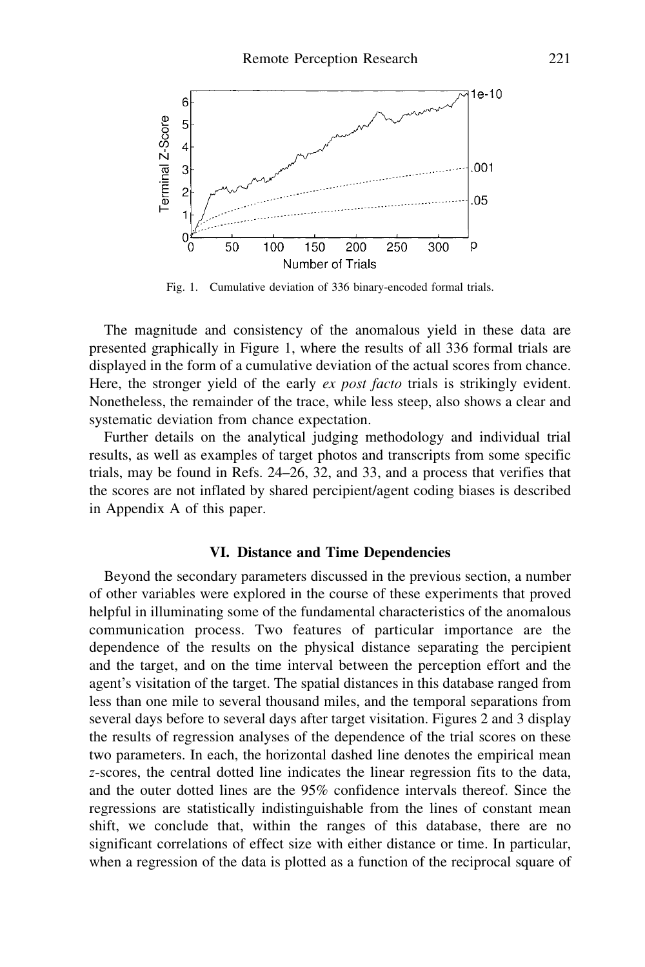

Fig. 1. Cumulative deviation of 336 binary-encoded formal trials.

The magnitude and consistency of the anomalous yield in these data are presented graphically in Figure 1, where the results of all 336 formal trials are displayed in the form of a cumulative deviation of the actual scores from chance. Here, the stronger yield of the early ex post facto trials is strikingly evident. Nonetheless, the remainder of the trace, while less steep, also shows a clear and systematic deviation from chance expectation.

Further details on the analytical judging methodology and individual trial results, as well as examples of target photos and transcripts from some specific trials, may be found in Refs. 24–26, 32, and 33, and a process that verifies that the scores are not inflated by shared percipient/agent coding biases is described in Appendix A of this paper.

#### VI. Distance and Time Dependencies

Beyond the secondary parameters discussed in the previous section, a number of other variables were explored in the course of these experiments that proved helpful in illuminating some of the fundamental characteristics of the anomalous communication process. Two features of particular importance are the dependence of the results on the physical distance separating the percipient and the target, and on the time interval between the perception effort and the agent's visitation of the target. The spatial distances in this database ranged from less than one mile to several thousand miles, and the temporal separations from several days before to several days after target visitation. Figures 2 and 3 display the results of regression analyses of the dependence of the trial scores on these two parameters. In each, the horizontal dashed line denotes the empirical mean z-scores, the central dotted line indicates the linear regression fits to the data, and the outer dotted lines are the 95% confidence intervals thereof. Since the regressions are statistically indistinguishable from the lines of constant mean shift, we conclude that, within the ranges of this database, there are no significant correlations of effect size with either distance or time. In particular, when a regression of the data is plotted as a function of the reciprocal square of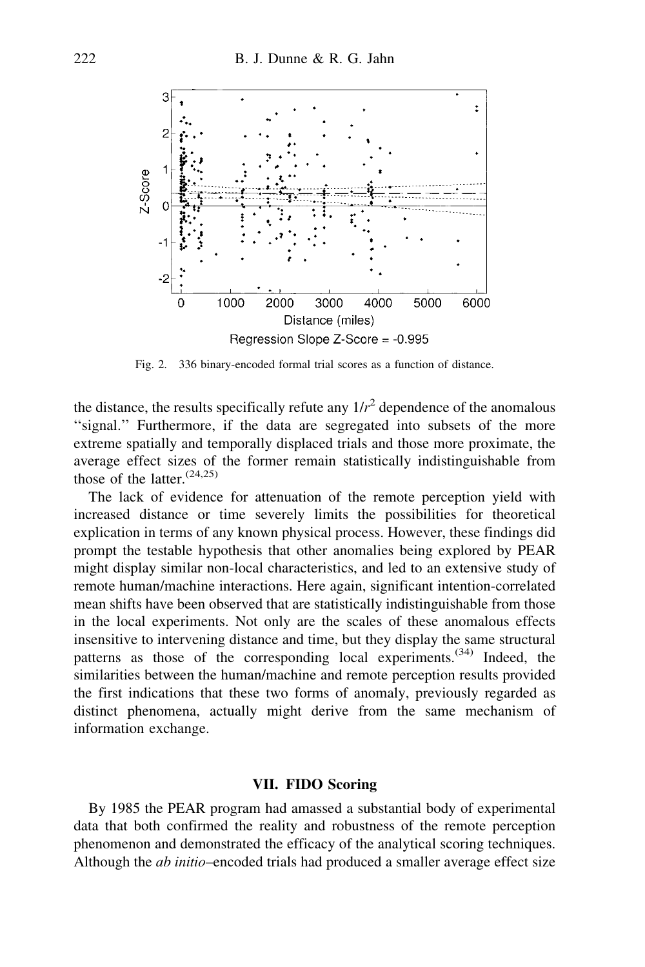

Fig. 2. 336 binary-encoded formal trial scores as a function of distance.

the distance, the results specifically refute any  $1/r^2$  dependence of the anomalous ''signal.'' Furthermore, if the data are segregated into subsets of the more extreme spatially and temporally displaced trials and those more proximate, the average effect sizes of the former remain statistically indistinguishable from those of the latter. $(24,25)$ 

The lack of evidence for attenuation of the remote perception yield with increased distance or time severely limits the possibilities for theoretical explication in terms of any known physical process. However, these findings did prompt the testable hypothesis that other anomalies being explored by PEAR might display similar non-local characteristics, and led to an extensive study of remote human/machine interactions. Here again, significant intention-correlated mean shifts have been observed that are statistically indistinguishable from those in the local experiments. Not only are the scales of these anomalous effects insensitive to intervening distance and time, but they display the same structural patterns as those of the corresponding local experiments.<sup>(34)</sup> Indeed, the similarities between the human/machine and remote perception results provided the first indications that these two forms of anomaly, previously regarded as distinct phenomena, actually might derive from the same mechanism of information exchange.

### VII. FIDO Scoring

By 1985 the PEAR program had amassed a substantial body of experimental data that both confirmed the reality and robustness of the remote perception phenomenon and demonstrated the efficacy of the analytical scoring techniques. Although the *ab initio*–encoded trials had produced a smaller average effect size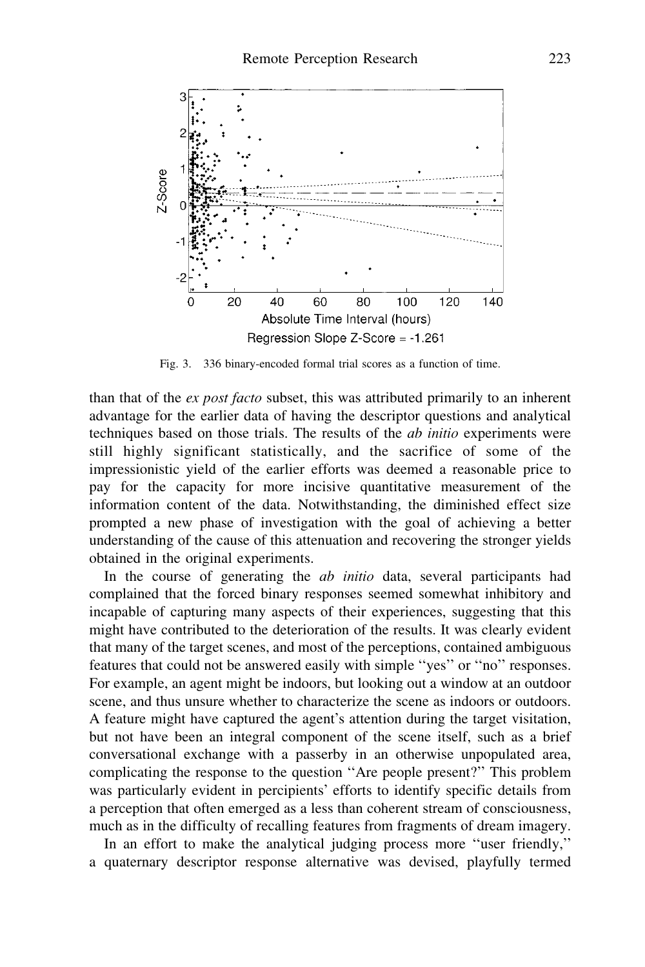

Fig. 3. 336 binary-encoded formal trial scores as a function of time.

than that of the *ex post facto* subset, this was attributed primarily to an inherent advantage for the earlier data of having the descriptor questions and analytical techniques based on those trials. The results of the ab initio experiments were still highly significant statistically, and the sacrifice of some of the impressionistic yield of the earlier efforts was deemed a reasonable price to pay for the capacity for more incisive quantitative measurement of the information content of the data. Notwithstanding, the diminished effect size prompted a new phase of investigation with the goal of achieving a better understanding of the cause of this attenuation and recovering the stronger yields obtained in the original experiments.

In the course of generating the *ab initio* data, several participants had complained that the forced binary responses seemed somewhat inhibitory and incapable of capturing many aspects of their experiences, suggesting that this might have contributed to the deterioration of the results. It was clearly evident that many of the target scenes, and most of the perceptions, contained ambiguous features that could not be answered easily with simple ''yes'' or ''no'' responses. For example, an agent might be indoors, but looking out a window at an outdoor scene, and thus unsure whether to characterize the scene as indoors or outdoors. A feature might have captured the agent's attention during the target visitation, but not have been an integral component of the scene itself, such as a brief conversational exchange with a passerby in an otherwise unpopulated area, complicating the response to the question ''Are people present?'' This problem was particularly evident in percipients' efforts to identify specific details from a perception that often emerged as a less than coherent stream of consciousness, much as in the difficulty of recalling features from fragments of dream imagery.

In an effort to make the analytical judging process more ''user friendly,'' a quaternary descriptor response alternative was devised, playfully termed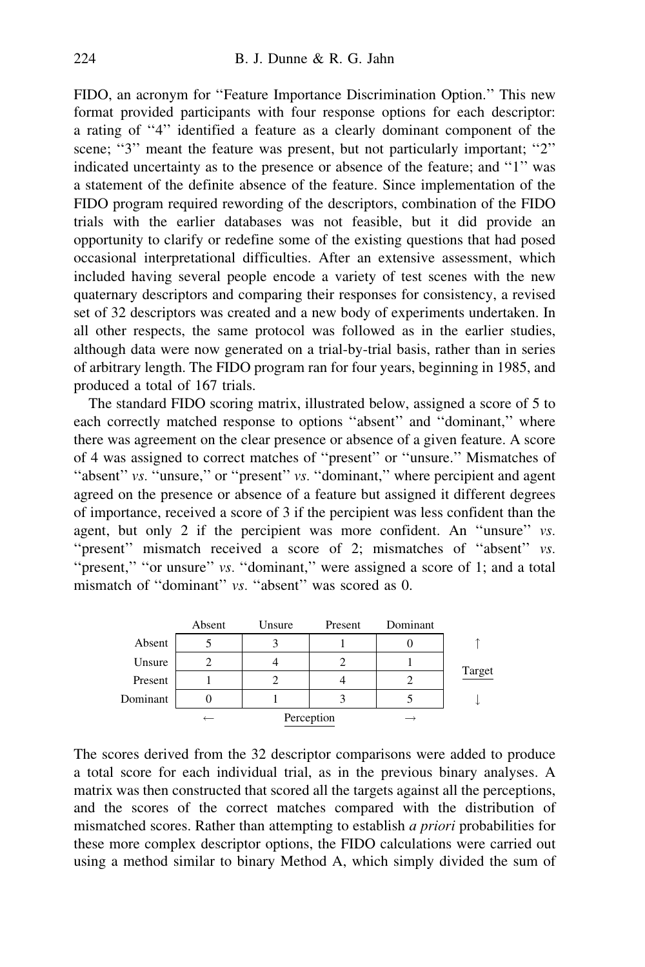FIDO, an acronym for ''Feature Importance Discrimination Option.'' This new format provided participants with four response options for each descriptor: a rating of ''4'' identified a feature as a clearly dominant component of the scene; "3" meant the feature was present, but not particularly important; "2" indicated uncertainty as to the presence or absence of the feature; and ''1'' was a statement of the definite absence of the feature. Since implementation of the FIDO program required rewording of the descriptors, combination of the FIDO trials with the earlier databases was not feasible, but it did provide an opportunity to clarify or redefine some of the existing questions that had posed occasional interpretational difficulties. After an extensive assessment, which included having several people encode a variety of test scenes with the new quaternary descriptors and comparing their responses for consistency, a revised set of 32 descriptors was created and a new body of experiments undertaken. In all other respects, the same protocol was followed as in the earlier studies, although data were now generated on a trial-by-trial basis, rather than in series of arbitrary length. The FIDO program ran for four years, beginning in 1985, and produced a total of 167 trials.

The standard FIDO scoring matrix, illustrated below, assigned a score of 5 to each correctly matched response to options ''absent'' and ''dominant,'' where there was agreement on the clear presence or absence of a given feature. A score of 4 was assigned to correct matches of ''present'' or ''unsure.'' Mismatches of "absent" vs. "unsure," or "present" vs. "dominant," where percipient and agent agreed on the presence or absence of a feature but assigned it different degrees of importance, received a score of 3 if the percipient was less confident than the agent, but only 2 if the percipient was more confident. An ''unsure'' vs. "present" mismatch received a score of 2; mismatches of "absent" vs. "present," "or unsure" vs. "dominant," were assigned a score of 1; and a total mismatch of "dominant" vs. "absent" was scored as 0.

|          | Absent | Unsure | Present    | Dominant |        |
|----------|--------|--------|------------|----------|--------|
| Absent   |        |        |            |          |        |
| Unsure   |        |        |            |          |        |
| Present  |        |        |            |          | Target |
| Dominant |        |        |            |          |        |
|          |        |        | Perception |          |        |

The scores derived from the 32 descriptor comparisons were added to produce a total score for each individual trial, as in the previous binary analyses. A matrix was then constructed that scored all the targets against all the perceptions, and the scores of the correct matches compared with the distribution of mismatched scores. Rather than attempting to establish a priori probabilities for these more complex descriptor options, the FIDO calculations were carried out using a method similar to binary Method A, which simply divided the sum of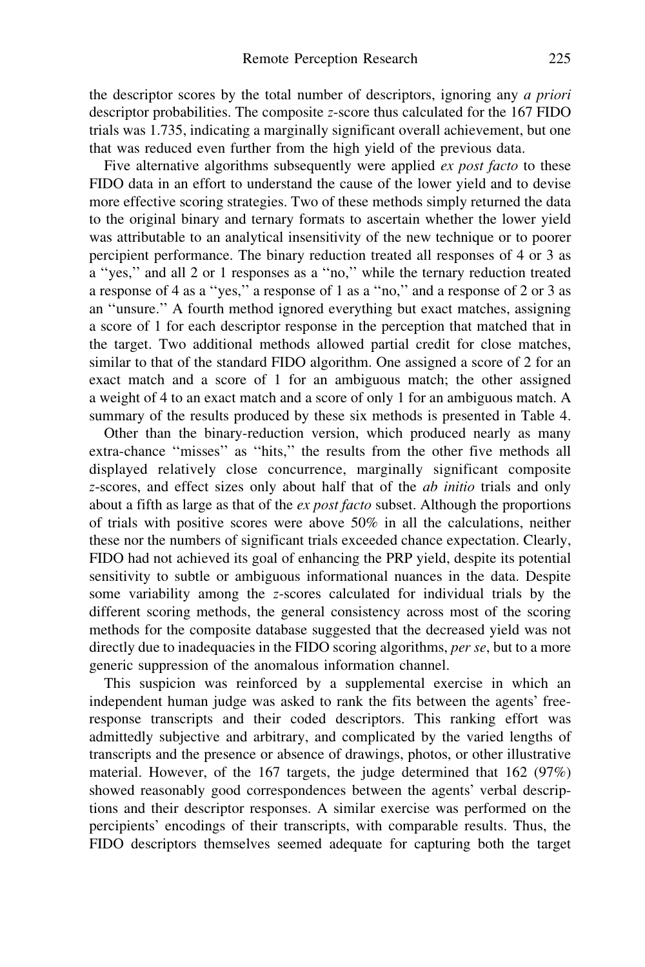the descriptor scores by the total number of descriptors, ignoring any a priori descriptor probabilities. The composite z-score thus calculated for the 167 FIDO trials was 1.735, indicating a marginally significant overall achievement, but one that was reduced even further from the high yield of the previous data.

Five alternative algorithms subsequently were applied *ex post facto* to these FIDO data in an effort to understand the cause of the lower yield and to devise more effective scoring strategies. Two of these methods simply returned the data to the original binary and ternary formats to ascertain whether the lower yield was attributable to an analytical insensitivity of the new technique or to poorer percipient performance. The binary reduction treated all responses of 4 or 3 as a ''yes,'' and all 2 or 1 responses as a ''no,'' while the ternary reduction treated a response of 4 as a ''yes,'' a response of 1 as a ''no,'' and a response of 2 or 3 as an ''unsure.'' A fourth method ignored everything but exact matches, assigning a score of 1 for each descriptor response in the perception that matched that in the target. Two additional methods allowed partial credit for close matches, similar to that of the standard FIDO algorithm. One assigned a score of 2 for an exact match and a score of 1 for an ambiguous match; the other assigned a weight of 4 to an exact match and a score of only 1 for an ambiguous match. A summary of the results produced by these six methods is presented in Table 4.

Other than the binary-reduction version, which produced nearly as many extra-chance ''misses'' as ''hits,'' the results from the other five methods all displayed relatively close concurrence, marginally significant composite z-scores, and effect sizes only about half that of the *ab initio* trials and only about a fifth as large as that of the ex post facto subset. Although the proportions of trials with positive scores were above 50% in all the calculations, neither these nor the numbers of significant trials exceeded chance expectation. Clearly, FIDO had not achieved its goal of enhancing the PRP yield, despite its potential sensitivity to subtle or ambiguous informational nuances in the data. Despite some variability among the z-scores calculated for individual trials by the different scoring methods, the general consistency across most of the scoring methods for the composite database suggested that the decreased yield was not directly due to inadequacies in the FIDO scoring algorithms, per se, but to a more generic suppression of the anomalous information channel.

This suspicion was reinforced by a supplemental exercise in which an independent human judge was asked to rank the fits between the agents' freeresponse transcripts and their coded descriptors. This ranking effort was admittedly subjective and arbitrary, and complicated by the varied lengths of transcripts and the presence or absence of drawings, photos, or other illustrative material. However, of the 167 targets, the judge determined that 162 (97%) showed reasonably good correspondences between the agents' verbal descriptions and their descriptor responses. A similar exercise was performed on the percipients' encodings of their transcripts, with comparable results. Thus, the FIDO descriptors themselves seemed adequate for capturing both the target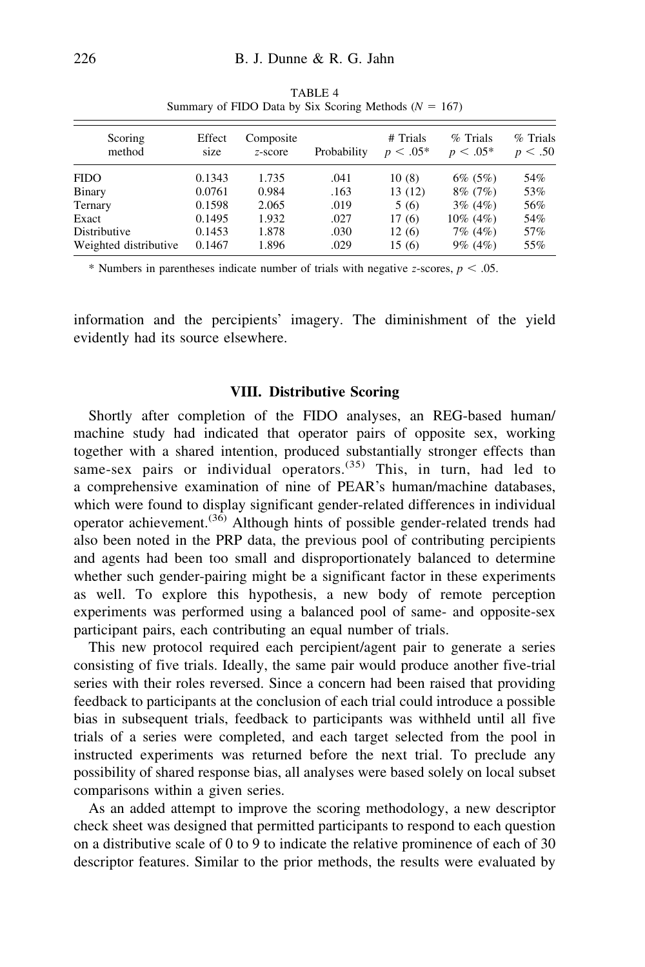| Scoring<br>method     | Effect<br>size | Composite<br>z-score | Probability | # Trials<br>$p < .05*$ | % Trials<br>$p < .05*$ | % Trials<br>p < .50 |
|-----------------------|----------------|----------------------|-------------|------------------------|------------------------|---------------------|
| <b>FIDO</b>           | 0.1343         | 1.735                | .041        | 10(8)                  | $6\%~(5\%)$            | 54%                 |
| Binary                | 0.0761         | 0.984                | .163        | 13 (12)                | 8% (7%)                | 53%                 |
| Ternary               | 0.1598         | 2.065                | .019        | 5(6)                   | $3\% (4\%)$            | 56%                 |
| Exact                 | 0.1495         | 1.932                | .027        | 17(6)                  | $10\%$ (4\%)           | 54%                 |
| Distributive          | 0.1453         | 1.878                | .030        | 12(6)                  | $7\%$ (4%)             | 57%                 |
| Weighted distributive | 0.1467         | 1.896                | .029        | 15(6)                  | $9\%~(4\%)$            | 55%                 |
|                       |                |                      |             |                        |                        |                     |

TABLE 4 Summary of FIDO Data by Six Scoring Methods ( $N = 167$ )

\* Numbers in parentheses indicate number of trials with negative z-scores,  $p < .05$ .

information and the percipients' imagery. The diminishment of the yield evidently had its source elsewhere.

#### VIII. Distributive Scoring

Shortly after completion of the FIDO analyses, an REG-based human/ machine study had indicated that operator pairs of opposite sex, working together with a shared intention, produced substantially stronger effects than same-sex pairs or individual operators. $(35)$  This, in turn, had led to a comprehensive examination of nine of PEAR's human/machine databases, which were found to display significant gender-related differences in individual operator achievement.<sup> $(36)$ </sup> Although hints of possible gender-related trends had also been noted in the PRP data, the previous pool of contributing percipients and agents had been too small and disproportionately balanced to determine whether such gender-pairing might be a significant factor in these experiments as well. To explore this hypothesis, a new body of remote perception experiments was performed using a balanced pool of same- and opposite-sex participant pairs, each contributing an equal number of trials.

This new protocol required each percipient/agent pair to generate a series consisting of five trials. Ideally, the same pair would produce another five-trial series with their roles reversed. Since a concern had been raised that providing feedback to participants at the conclusion of each trial could introduce a possible bias in subsequent trials, feedback to participants was withheld until all five trials of a series were completed, and each target selected from the pool in instructed experiments was returned before the next trial. To preclude any possibility of shared response bias, all analyses were based solely on local subset comparisons within a given series.

As an added attempt to improve the scoring methodology, a new descriptor check sheet was designed that permitted participants to respond to each question on a distributive scale of 0 to 9 to indicate the relative prominence of each of 30 descriptor features. Similar to the prior methods, the results were evaluated by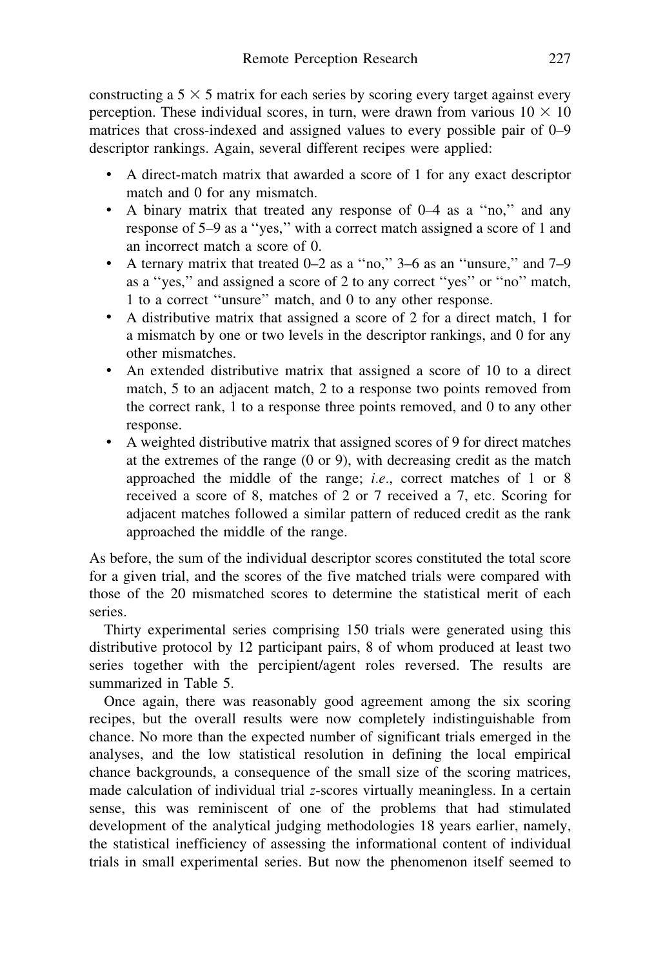constructing a  $5 \times 5$  matrix for each series by scoring every target against every perception. These individual scores, in turn, were drawn from various  $10 \times 10$ matrices that cross-indexed and assigned values to every possible pair of 0–9 descriptor rankings. Again, several different recipes were applied:

- A direct-match matrix that awarded a score of 1 for any exact descriptor match and 0 for any mismatch.
- A binary matrix that treated any response of 0–4 as a ''no,'' and any response of 5–9 as a ''yes,'' with a correct match assigned a score of 1 and an incorrect match a score of 0.
- A ternary matrix that treated 0–2 as a ''no,'' 3–6 as an ''unsure,'' and 7–9 as a ''yes,'' and assigned a score of 2 to any correct ''yes'' or ''no'' match, 1 to a correct ''unsure'' match, and 0 to any other response.
- A distributive matrix that assigned a score of 2 for a direct match, 1 for a mismatch by one or two levels in the descriptor rankings, and 0 for any other mismatches.
- An extended distributive matrix that assigned a score of 10 to a direct match, 5 to an adjacent match, 2 to a response two points removed from the correct rank, 1 to a response three points removed, and 0 to any other response.
- A weighted distributive matrix that assigned scores of 9 for direct matches at the extremes of the range (0 or 9), with decreasing credit as the match approached the middle of the range; i.e., correct matches of 1 or 8 received a score of 8, matches of 2 or 7 received a 7, etc. Scoring for adjacent matches followed a similar pattern of reduced credit as the rank approached the middle of the range.

As before, the sum of the individual descriptor scores constituted the total score for a given trial, and the scores of the five matched trials were compared with those of the 20 mismatched scores to determine the statistical merit of each series.

Thirty experimental series comprising 150 trials were generated using this distributive protocol by 12 participant pairs, 8 of whom produced at least two series together with the percipient/agent roles reversed. The results are summarized in Table 5.

Once again, there was reasonably good agreement among the six scoring recipes, but the overall results were now completely indistinguishable from chance. No more than the expected number of significant trials emerged in the analyses, and the low statistical resolution in defining the local empirical chance backgrounds, a consequence of the small size of the scoring matrices, made calculation of individual trial z-scores virtually meaningless. In a certain sense, this was reminiscent of one of the problems that had stimulated development of the analytical judging methodologies 18 years earlier, namely, the statistical inefficiency of assessing the informational content of individual trials in small experimental series. But now the phenomenon itself seemed to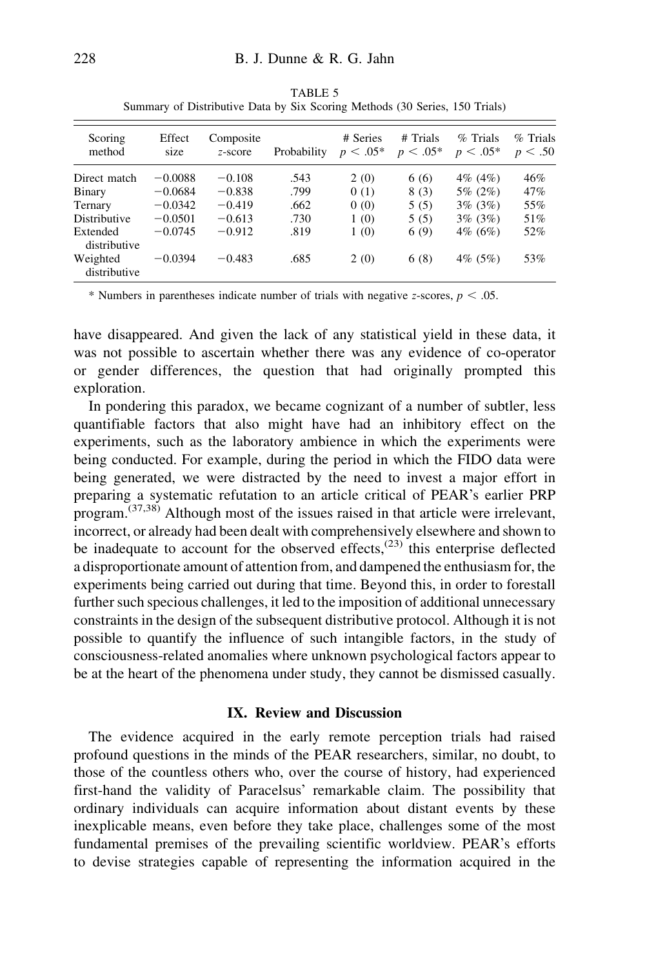| Scoring<br>method        | Effect<br>size | Composite<br>z-score | Probability | # Series<br>$p < .05*$ | # Trials<br>$p < .05*$ | $%$ Trials<br>$p < .05*$ | % Trials<br>p < .50 |
|--------------------------|----------------|----------------------|-------------|------------------------|------------------------|--------------------------|---------------------|
| Direct match             | $-0.0088$      | $-0.108$             | .543        | 2(0)                   | 6(6)                   | $4\%~(4\%)$              | 46%                 |
| Binary                   | $-0.0684$      | $-0.838$             | .799        | 0(1)                   | 8(3)                   | $5\%~(2\%)$              | 47%                 |
| Ternary                  | $-0.0342$      | $-0.419$             | .662        | 0(0)                   | 5(5)                   | $3\%$ (3\%)              | 55%                 |
| Distributive             | $-0.0501$      | $-0.613$             | .730        | 1(0)                   | 5(5)                   | $3\% (3\%)$              | 51%                 |
| Extended<br>distributive | $-0.0745$      | $-0.912$             | .819        | 1(0)                   | 6(9)                   | $4\%~(6\%)$              | 52%                 |
| Weighted<br>distributive | $-0.0394$      | $-0.483$             | .685        | 2(0)                   | 6(8)                   | $4\%$ (5%)               | 53%                 |

TABLE 5 Summary of Distributive Data by Six Scoring Methods (30 Series, 150 Trials)

\* Numbers in parentheses indicate number of trials with negative z-scores,  $p < .05$ .

have disappeared. And given the lack of any statistical yield in these data, it was not possible to ascertain whether there was any evidence of co-operator or gender differences, the question that had originally prompted this exploration.

In pondering this paradox, we became cognizant of a number of subtler, less quantifiable factors that also might have had an inhibitory effect on the experiments, such as the laboratory ambience in which the experiments were being conducted. For example, during the period in which the FIDO data were being generated, we were distracted by the need to invest a major effort in preparing a systematic refutation to an article critical of PEAR's earlier PRP program.(37,38) Although most of the issues raised in that article were irrelevant, incorrect, or already had been dealt with comprehensively elsewhere and shown to be inadequate to account for the observed effects, $(23)$  this enterprise deflected a disproportionate amount of attention from, and dampened the enthusiasm for, the experiments being carried out during that time. Beyond this, in order to forestall further such specious challenges, it led to the imposition of additional unnecessary constraints in the design of the subsequent distributive protocol. Although it is not possible to quantify the influence of such intangible factors, in the study of consciousness-related anomalies where unknown psychological factors appear to be at the heart of the phenomena under study, they cannot be dismissed casually.

#### IX. Review and Discussion

The evidence acquired in the early remote perception trials had raised profound questions in the minds of the PEAR researchers, similar, no doubt, to those of the countless others who, over the course of history, had experienced first-hand the validity of Paracelsus' remarkable claim. The possibility that ordinary individuals can acquire information about distant events by these inexplicable means, even before they take place, challenges some of the most fundamental premises of the prevailing scientific worldview. PEAR's efforts to devise strategies capable of representing the information acquired in the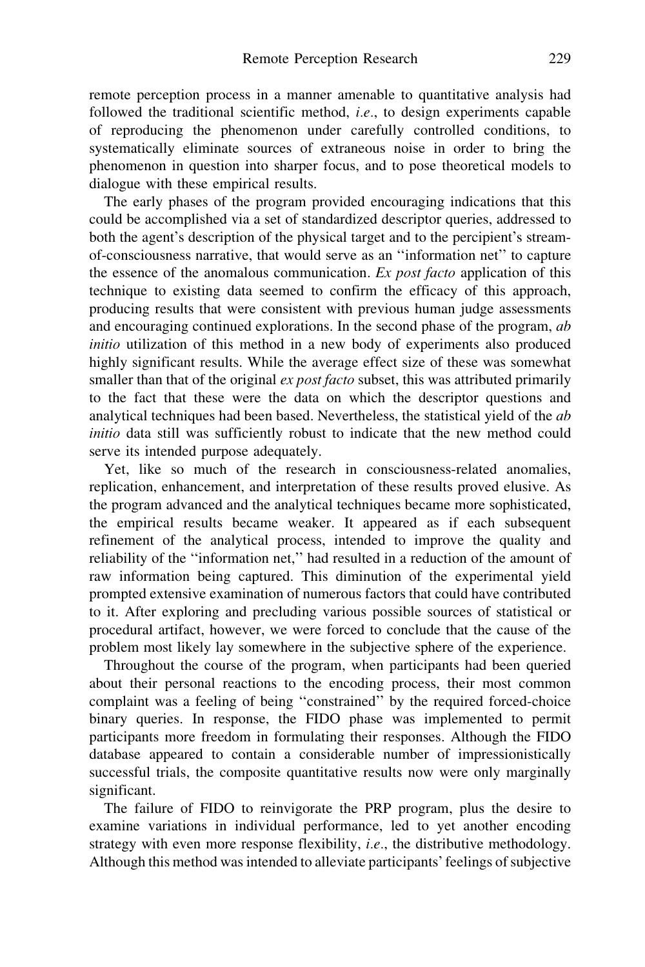remote perception process in a manner amenable to quantitative analysis had followed the traditional scientific method, i.e., to design experiments capable of reproducing the phenomenon under carefully controlled conditions, to systematically eliminate sources of extraneous noise in order to bring the phenomenon in question into sharper focus, and to pose theoretical models to dialogue with these empirical results.

The early phases of the program provided encouraging indications that this could be accomplished via a set of standardized descriptor queries, addressed to both the agent's description of the physical target and to the percipient's streamof-consciousness narrative, that would serve as an ''information net'' to capture the essence of the anomalous communication. Ex post facto application of this technique to existing data seemed to confirm the efficacy of this approach, producing results that were consistent with previous human judge assessments and encouraging continued explorations. In the second phase of the program, ab initio utilization of this method in a new body of experiments also produced highly significant results. While the average effect size of these was somewhat smaller than that of the original *ex post facto* subset, this was attributed primarily to the fact that these were the data on which the descriptor questions and analytical techniques had been based. Nevertheless, the statistical yield of the ab initio data still was sufficiently robust to indicate that the new method could serve its intended purpose adequately.

Yet, like so much of the research in consciousness-related anomalies, replication, enhancement, and interpretation of these results proved elusive. As the program advanced and the analytical techniques became more sophisticated, the empirical results became weaker. It appeared as if each subsequent refinement of the analytical process, intended to improve the quality and reliability of the ''information net,'' had resulted in a reduction of the amount of raw information being captured. This diminution of the experimental yield prompted extensive examination of numerous factors that could have contributed to it. After exploring and precluding various possible sources of statistical or procedural artifact, however, we were forced to conclude that the cause of the problem most likely lay somewhere in the subjective sphere of the experience.

Throughout the course of the program, when participants had been queried about their personal reactions to the encoding process, their most common complaint was a feeling of being ''constrained'' by the required forced-choice binary queries. In response, the FIDO phase was implemented to permit participants more freedom in formulating their responses. Although the FIDO database appeared to contain a considerable number of impressionistically successful trials, the composite quantitative results now were only marginally significant.

The failure of FIDO to reinvigorate the PRP program, plus the desire to examine variations in individual performance, led to yet another encoding strategy with even more response flexibility, i.e., the distributive methodology. Although this method was intended to alleviate participants' feelings of subjective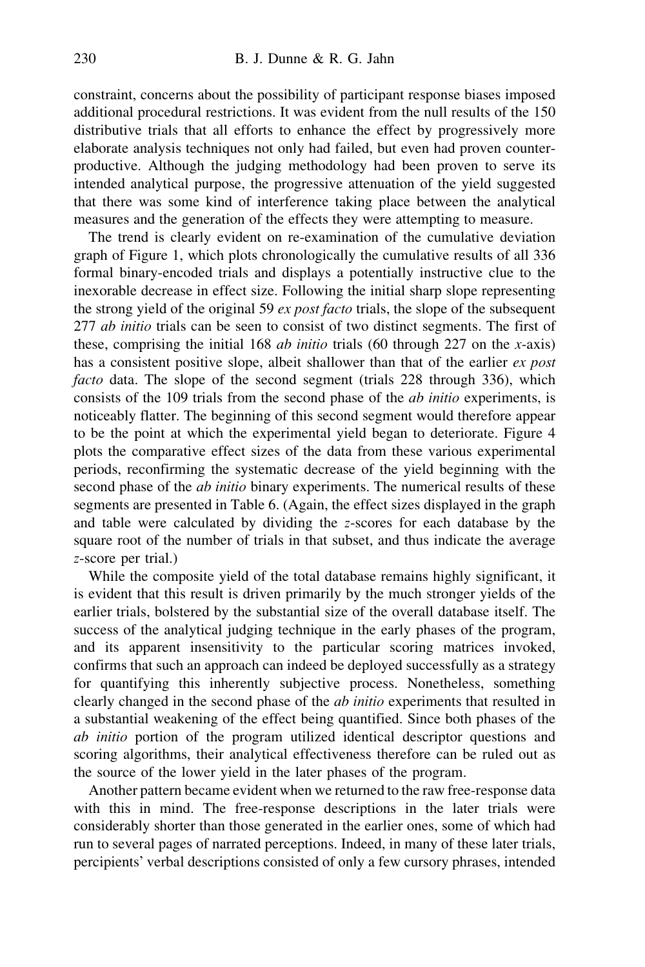constraint, concerns about the possibility of participant response biases imposed additional procedural restrictions. It was evident from the null results of the 150 distributive trials that all efforts to enhance the effect by progressively more elaborate analysis techniques not only had failed, but even had proven counterproductive. Although the judging methodology had been proven to serve its intended analytical purpose, the progressive attenuation of the yield suggested that there was some kind of interference taking place between the analytical measures and the generation of the effects they were attempting to measure.

The trend is clearly evident on re-examination of the cumulative deviation graph of Figure 1, which plots chronologically the cumulative results of all 336 formal binary-encoded trials and displays a potentially instructive clue to the inexorable decrease in effect size. Following the initial sharp slope representing the strong yield of the original 59 ex post facto trials, the slope of the subsequent 277 *ab initio* trials can be seen to consist of two distinct segments. The first of these, comprising the initial 168 *ab initio* trials (60 through 227 on the x-axis) has a consistent positive slope, albeit shallower than that of the earlier ex post facto data. The slope of the second segment (trials 228 through 336), which consists of the 109 trials from the second phase of the ab initio experiments, is noticeably flatter. The beginning of this second segment would therefore appear to be the point at which the experimental yield began to deteriorate. Figure 4 plots the comparative effect sizes of the data from these various experimental periods, reconfirming the systematic decrease of the yield beginning with the second phase of the *ab initio* binary experiments. The numerical results of these segments are presented in Table 6. (Again, the effect sizes displayed in the graph and table were calculated by dividing the z-scores for each database by the square root of the number of trials in that subset, and thus indicate the average z-score per trial.)

While the composite yield of the total database remains highly significant, it is evident that this result is driven primarily by the much stronger yields of the earlier trials, bolstered by the substantial size of the overall database itself. The success of the analytical judging technique in the early phases of the program, and its apparent insensitivity to the particular scoring matrices invoked, confirms that such an approach can indeed be deployed successfully as a strategy for quantifying this inherently subjective process. Nonetheless, something clearly changed in the second phase of the ab initio experiments that resulted in a substantial weakening of the effect being quantified. Since both phases of the ab initio portion of the program utilized identical descriptor questions and scoring algorithms, their analytical effectiveness therefore can be ruled out as the source of the lower yield in the later phases of the program.

Another pattern became evident when we returned to the raw free-response data with this in mind. The free-response descriptions in the later trials were considerably shorter than those generated in the earlier ones, some of which had run to several pages of narrated perceptions. Indeed, in many of these later trials, percipients' verbal descriptions consisted of only a few cursory phrases, intended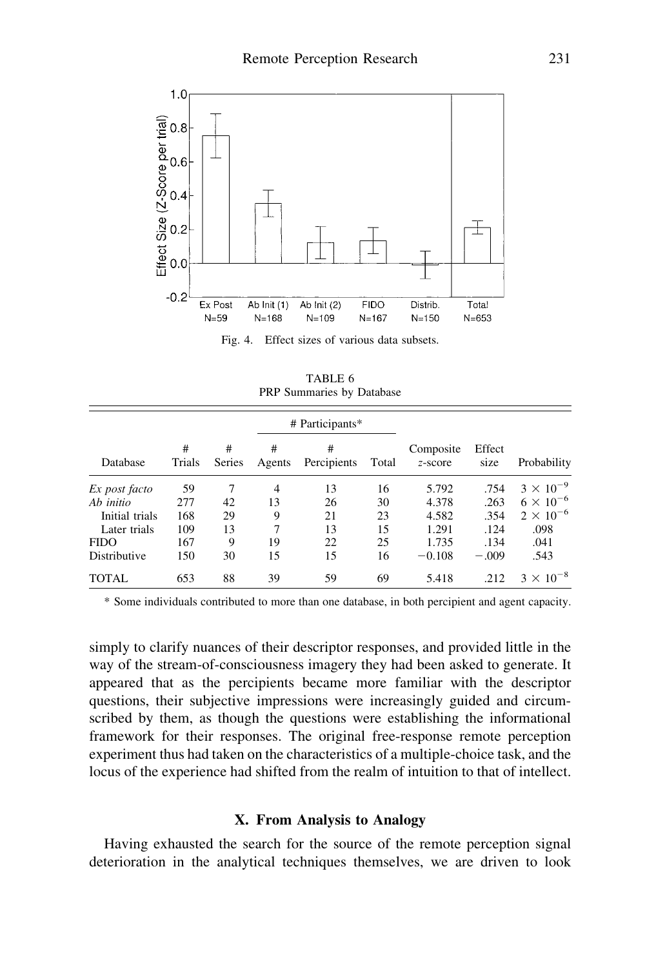

Fig. 4. Effect sizes of various data subsets.

TABLE 6 PRP Summaries by Database

|                |             |             |             | # Participants*  |       |                         |                |                    |
|----------------|-------------|-------------|-------------|------------------|-------|-------------------------|----------------|--------------------|
| Database       | #<br>Trials | #<br>Series | #<br>Agents | #<br>Percipients | Total | Composite<br>$z$ -score | Effect<br>size | Probability        |
| Ex post facto  | 59          | 7           | 4           | 13               | 16    | 5.792                   | .754           | $3 \times 10^{-9}$ |
| Ab initio      | 277         | 42          | 13          | 26               | 30    | 4.378                   | .263           | $6 \times 10^{-6}$ |
| Initial trials | 168         | 29          | 9           | 21               | 23    | 4.582                   | .354           | $2 \times 10^{-6}$ |
| Later trials   | 109         | 13          | 7           | 13               | 15    | 1.291                   | .124           | .098               |
| <b>FIDO</b>    | 167         | 9           | 19          | 22               | 25    | 1.735                   | .134           | .041               |
| Distributive   | 150         | 30          | 15          | 15               | 16    | $-0.108$                | $-.009$        | .543               |
| TOTAL          | 653         | 88          | 39          | 59               | 69    | 5.418                   | .212           | $3 \times 10^{-8}$ |

\* Some individuals contributed to more than one database, in both percipient and agent capacity.

simply to clarify nuances of their descriptor responses, and provided little in the way of the stream-of-consciousness imagery they had been asked to generate. It appeared that as the percipients became more familiar with the descriptor questions, their subjective impressions were increasingly guided and circumscribed by them, as though the questions were establishing the informational framework for their responses. The original free-response remote perception experiment thus had taken on the characteristics of a multiple-choice task, and the locus of the experience had shifted from the realm of intuition to that of intellect.

#### X. From Analysis to Analogy

Having exhausted the search for the source of the remote perception signal deterioration in the analytical techniques themselves, we are driven to look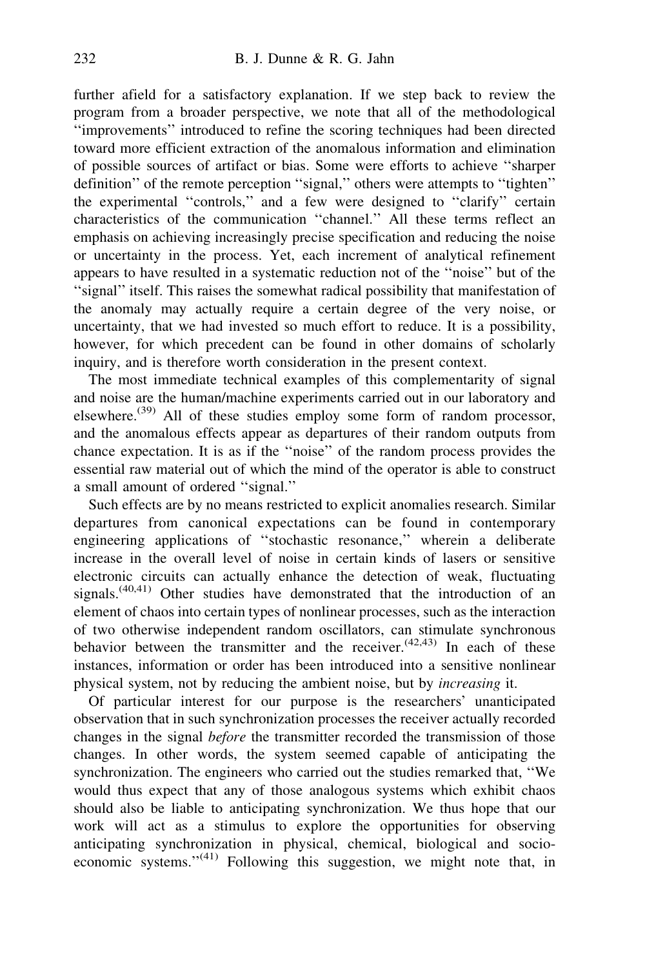further afield for a satisfactory explanation. If we step back to review the program from a broader perspective, we note that all of the methodological ''improvements'' introduced to refine the scoring techniques had been directed toward more efficient extraction of the anomalous information and elimination of possible sources of artifact or bias. Some were efforts to achieve ''sharper definition'' of the remote perception ''signal,'' others were attempts to ''tighten'' the experimental ''controls,'' and a few were designed to ''clarify'' certain characteristics of the communication ''channel.'' All these terms reflect an emphasis on achieving increasingly precise specification and reducing the noise or uncertainty in the process. Yet, each increment of analytical refinement appears to have resulted in a systematic reduction not of the ''noise'' but of the ''signal'' itself. This raises the somewhat radical possibility that manifestation of the anomaly may actually require a certain degree of the very noise, or uncertainty, that we had invested so much effort to reduce. It is a possibility, however, for which precedent can be found in other domains of scholarly inquiry, and is therefore worth consideration in the present context.

The most immediate technical examples of this complementarity of signal and noise are the human/machine experiments carried out in our laboratory and elsewhere.<sup>(39)</sup> All of these studies employ some form of random processor, and the anomalous effects appear as departures of their random outputs from chance expectation. It is as if the ''noise'' of the random process provides the essential raw material out of which the mind of the operator is able to construct a small amount of ordered ''signal.''

Such effects are by no means restricted to explicit anomalies research. Similar departures from canonical expectations can be found in contemporary engineering applications of ''stochastic resonance,'' wherein a deliberate increase in the overall level of noise in certain kinds of lasers or sensitive electronic circuits can actually enhance the detection of weak, fluctuating signals.<sup> $(40,41)$ </sup> Other studies have demonstrated that the introduction of an element of chaos into certain types of nonlinear processes, such as the interaction of two otherwise independent random oscillators, can stimulate synchronous behavior between the transmitter and the receiver.<sup> $(42,43)$ </sup> In each of these instances, information or order has been introduced into a sensitive nonlinear physical system, not by reducing the ambient noise, but by increasing it.

Of particular interest for our purpose is the researchers' unanticipated observation that in such synchronization processes the receiver actually recorded changes in the signal before the transmitter recorded the transmission of those changes. In other words, the system seemed capable of anticipating the synchronization. The engineers who carried out the studies remarked that, ''We would thus expect that any of those analogous systems which exhibit chaos should also be liable to anticipating synchronization. We thus hope that our work will act as a stimulus to explore the opportunities for observing anticipating synchronization in physical, chemical, biological and socioeconomic systems." $(41)$  Following this suggestion, we might note that, in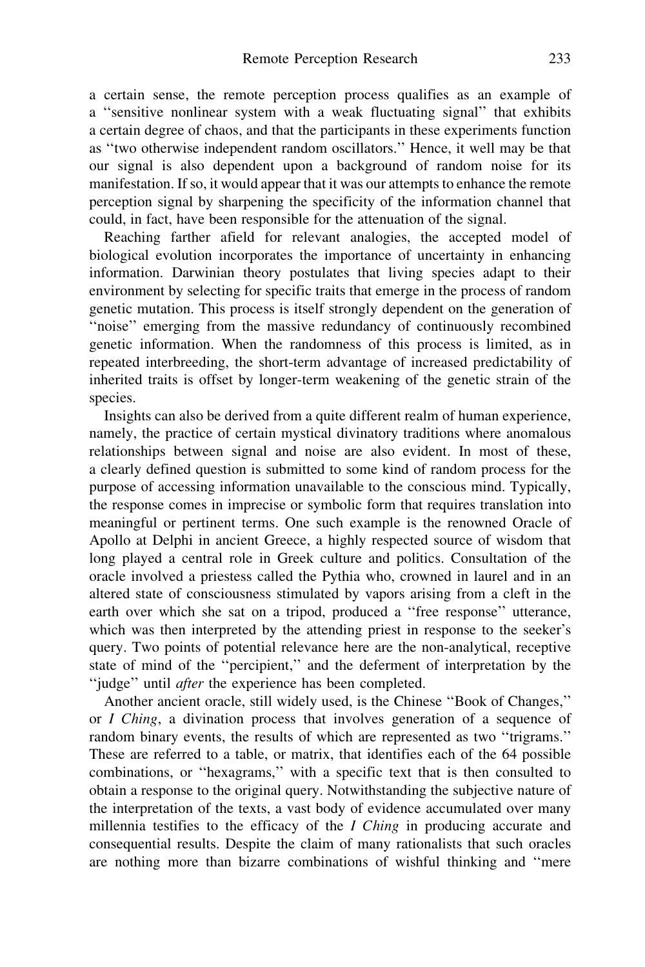a certain sense, the remote perception process qualifies as an example of a ''sensitive nonlinear system with a weak fluctuating signal'' that exhibits a certain degree of chaos, and that the participants in these experiments function as ''two otherwise independent random oscillators.'' Hence, it well may be that our signal is also dependent upon a background of random noise for its manifestation. If so, it would appear that it was our attempts to enhance the remote perception signal by sharpening the specificity of the information channel that could, in fact, have been responsible for the attenuation of the signal.

Reaching farther afield for relevant analogies, the accepted model of biological evolution incorporates the importance of uncertainty in enhancing information. Darwinian theory postulates that living species adapt to their environment by selecting for specific traits that emerge in the process of random genetic mutation. This process is itself strongly dependent on the generation of ''noise'' emerging from the massive redundancy of continuously recombined genetic information. When the randomness of this process is limited, as in repeated interbreeding, the short-term advantage of increased predictability of inherited traits is offset by longer-term weakening of the genetic strain of the species.

Insights can also be derived from a quite different realm of human experience, namely, the practice of certain mystical divinatory traditions where anomalous relationships between signal and noise are also evident. In most of these, a clearly defined question is submitted to some kind of random process for the purpose of accessing information unavailable to the conscious mind. Typically, the response comes in imprecise or symbolic form that requires translation into meaningful or pertinent terms. One such example is the renowned Oracle of Apollo at Delphi in ancient Greece, a highly respected source of wisdom that long played a central role in Greek culture and politics. Consultation of the oracle involved a priestess called the Pythia who, crowned in laurel and in an altered state of consciousness stimulated by vapors arising from a cleft in the earth over which she sat on a tripod, produced a ''free response'' utterance, which was then interpreted by the attending priest in response to the seeker's query. Two points of potential relevance here are the non-analytical, receptive state of mind of the ''percipient,'' and the deferment of interpretation by the "judge" until *after* the experience has been completed.

Another ancient oracle, still widely used, is the Chinese ''Book of Changes,'' or I Ching, a divination process that involves generation of a sequence of random binary events, the results of which are represented as two ''trigrams.'' These are referred to a table, or matrix, that identifies each of the 64 possible combinations, or ''hexagrams,'' with a specific text that is then consulted to obtain a response to the original query. Notwithstanding the subjective nature of the interpretation of the texts, a vast body of evidence accumulated over many millennia testifies to the efficacy of the  $I$  Ching in producing accurate and consequential results. Despite the claim of many rationalists that such oracles are nothing more than bizarre combinations of wishful thinking and ''mere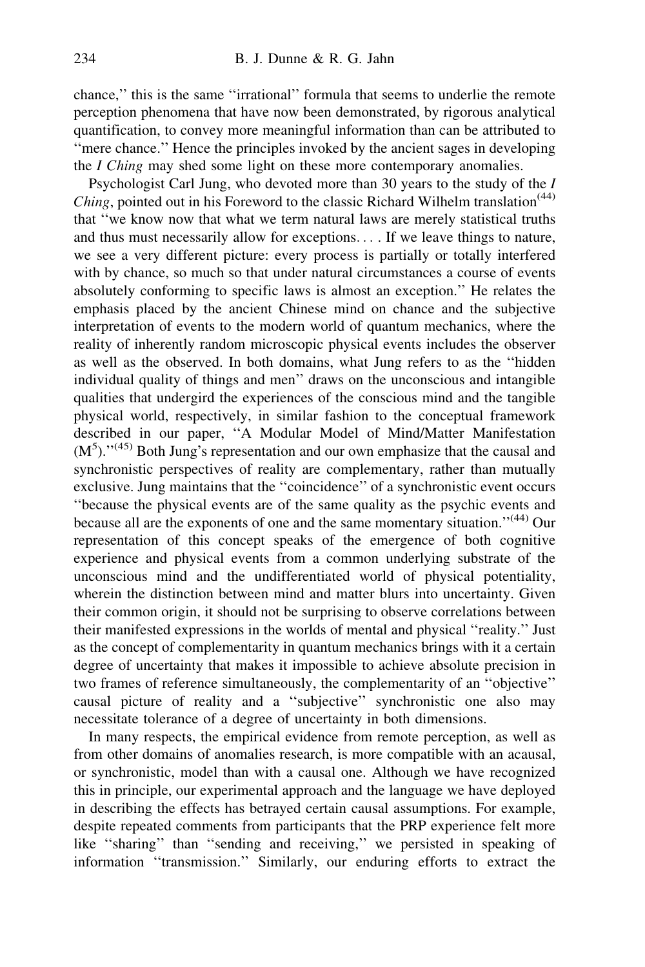chance,'' this is the same ''irrational'' formula that seems to underlie the remote perception phenomena that have now been demonstrated, by rigorous analytical quantification, to convey more meaningful information than can be attributed to "mere chance." Hence the principles invoked by the ancient sages in developing the *I Ching* may shed some light on these more contemporary anomalies.

Psychologist Carl Jung, who devoted more than 30 years to the study of the I Ching, pointed out in his Foreword to the classic Richard Wilhelm translation<sup>(44)</sup> that ''we know now that what we term natural laws are merely statistical truths and thus must necessarily allow for exceptions... . If we leave things to nature, we see a very different picture: every process is partially or totally interfered with by chance, so much so that under natural circumstances a course of events absolutely conforming to specific laws is almost an exception.'' He relates the emphasis placed by the ancient Chinese mind on chance and the subjective interpretation of events to the modern world of quantum mechanics, where the reality of inherently random microscopic physical events includes the observer as well as the observed. In both domains, what Jung refers to as the ''hidden individual quality of things and men'' draws on the unconscious and intangible qualities that undergird the experiences of the conscious mind and the tangible physical world, respectively, in similar fashion to the conceptual framework described in our paper, ''A Modular Model of Mind/Matter Manifestation  $(M<sup>5</sup>)$ ."<sup>(45)</sup> Both Jung's representation and our own emphasize that the causal and synchronistic perspectives of reality are complementary, rather than mutually exclusive. Jung maintains that the ''coincidence'' of a synchronistic event occurs ''because the physical events are of the same quality as the psychic events and because all are the exponents of one and the same momentary situation."<sup>(44)</sup> Our representation of this concept speaks of the emergence of both cognitive experience and physical events from a common underlying substrate of the unconscious mind and the undifferentiated world of physical potentiality, wherein the distinction between mind and matter blurs into uncertainty. Given their common origin, it should not be surprising to observe correlations between their manifested expressions in the worlds of mental and physical ''reality.'' Just as the concept of complementarity in quantum mechanics brings with it a certain degree of uncertainty that makes it impossible to achieve absolute precision in two frames of reference simultaneously, the complementarity of an ''objective'' causal picture of reality and a ''subjective'' synchronistic one also may necessitate tolerance of a degree of uncertainty in both dimensions.

In many respects, the empirical evidence from remote perception, as well as from other domains of anomalies research, is more compatible with an acausal, or synchronistic, model than with a causal one. Although we have recognized this in principle, our experimental approach and the language we have deployed in describing the effects has betrayed certain causal assumptions. For example, despite repeated comments from participants that the PRP experience felt more like ''sharing'' than ''sending and receiving,'' we persisted in speaking of information ''transmission.'' Similarly, our enduring efforts to extract the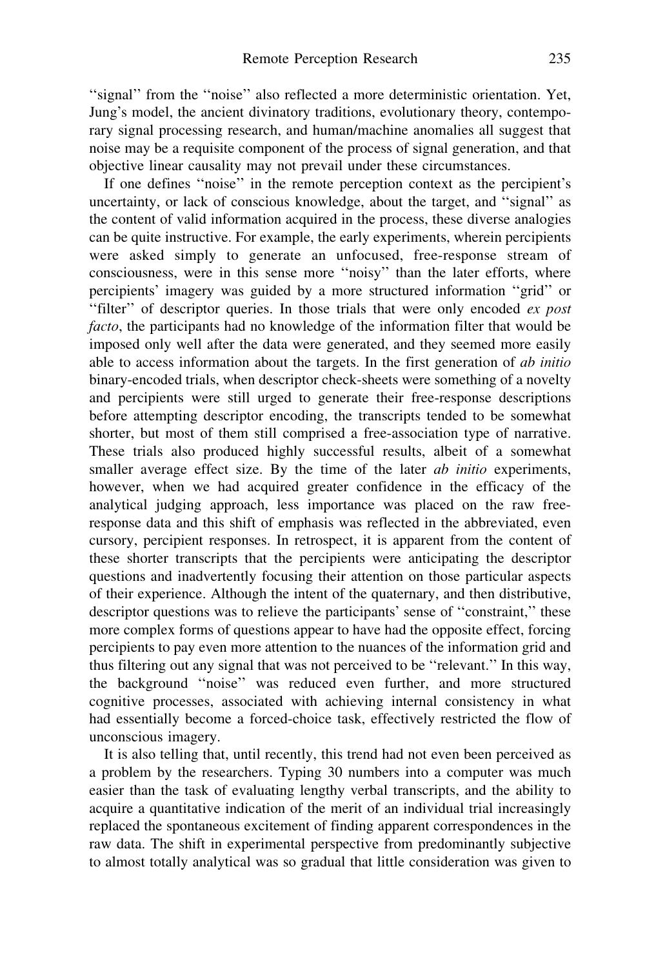''signal'' from the ''noise'' also reflected a more deterministic orientation. Yet, Jung's model, the ancient divinatory traditions, evolutionary theory, contemporary signal processing research, and human/machine anomalies all suggest that noise may be a requisite component of the process of signal generation, and that objective linear causality may not prevail under these circumstances.

If one defines ''noise'' in the remote perception context as the percipient's uncertainty, or lack of conscious knowledge, about the target, and ''signal'' as the content of valid information acquired in the process, these diverse analogies can be quite instructive. For example, the early experiments, wherein percipients were asked simply to generate an unfocused, free-response stream of consciousness, were in this sense more ''noisy'' than the later efforts, where percipients' imagery was guided by a more structured information ''grid'' or "filter" of descriptor queries. In those trials that were only encoded ex post facto, the participants had no knowledge of the information filter that would be imposed only well after the data were generated, and they seemed more easily able to access information about the targets. In the first generation of ab initio binary-encoded trials, when descriptor check-sheets were something of a novelty and percipients were still urged to generate their free-response descriptions before attempting descriptor encoding, the transcripts tended to be somewhat shorter, but most of them still comprised a free-association type of narrative. These trials also produced highly successful results, albeit of a somewhat smaller average effect size. By the time of the later *ab initio* experiments, however, when we had acquired greater confidence in the efficacy of the analytical judging approach, less importance was placed on the raw freeresponse data and this shift of emphasis was reflected in the abbreviated, even cursory, percipient responses. In retrospect, it is apparent from the content of these shorter transcripts that the percipients were anticipating the descriptor questions and inadvertently focusing their attention on those particular aspects of their experience. Although the intent of the quaternary, and then distributive, descriptor questions was to relieve the participants' sense of ''constraint,'' these more complex forms of questions appear to have had the opposite effect, forcing percipients to pay even more attention to the nuances of the information grid and thus filtering out any signal that was not perceived to be ''relevant.'' In this way, the background ''noise'' was reduced even further, and more structured cognitive processes, associated with achieving internal consistency in what had essentially become a forced-choice task, effectively restricted the flow of unconscious imagery.

It is also telling that, until recently, this trend had not even been perceived as a problem by the researchers. Typing 30 numbers into a computer was much easier than the task of evaluating lengthy verbal transcripts, and the ability to acquire a quantitative indication of the merit of an individual trial increasingly replaced the spontaneous excitement of finding apparent correspondences in the raw data. The shift in experimental perspective from predominantly subjective to almost totally analytical was so gradual that little consideration was given to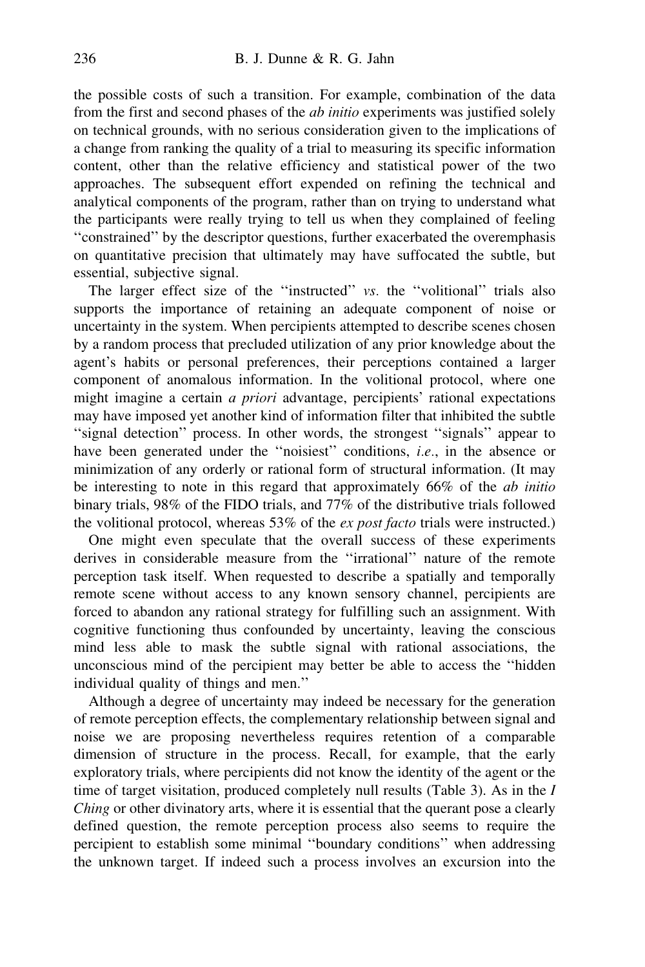the possible costs of such a transition. For example, combination of the data from the first and second phases of the *ab initio* experiments was justified solely on technical grounds, with no serious consideration given to the implications of a change from ranking the quality of a trial to measuring its specific information content, other than the relative efficiency and statistical power of the two approaches. The subsequent effort expended on refining the technical and analytical components of the program, rather than on trying to understand what the participants were really trying to tell us when they complained of feeling ''constrained'' by the descriptor questions, further exacerbated the overemphasis on quantitative precision that ultimately may have suffocated the subtle, but essential, subjective signal.

The larger effect size of the "instructed" vs. the "volitional" trials also supports the importance of retaining an adequate component of noise or uncertainty in the system. When percipients attempted to describe scenes chosen by a random process that precluded utilization of any prior knowledge about the agent's habits or personal preferences, their perceptions contained a larger component of anomalous information. In the volitional protocol, where one might imagine a certain a priori advantage, percipients' rational expectations may have imposed yet another kind of information filter that inhibited the subtle ''signal detection'' process. In other words, the strongest ''signals'' appear to have been generated under the "noisiest" conditions, *i.e.*, in the absence or minimization of any orderly or rational form of structural information. (It may be interesting to note in this regard that approximately 66% of the ab initio binary trials, 98% of the FIDO trials, and 77% of the distributive trials followed the volitional protocol, whereas 53% of the *ex post facto* trials were instructed.)

One might even speculate that the overall success of these experiments derives in considerable measure from the ''irrational'' nature of the remote perception task itself. When requested to describe a spatially and temporally remote scene without access to any known sensory channel, percipients are forced to abandon any rational strategy for fulfilling such an assignment. With cognitive functioning thus confounded by uncertainty, leaving the conscious mind less able to mask the subtle signal with rational associations, the unconscious mind of the percipient may better be able to access the ''hidden individual quality of things and men.''

Although a degree of uncertainty may indeed be necessary for the generation of remote perception effects, the complementary relationship between signal and noise we are proposing nevertheless requires retention of a comparable dimension of structure in the process. Recall, for example, that the early exploratory trials, where percipients did not know the identity of the agent or the time of target visitation, produced completely null results (Table 3). As in the  $I$ Ching or other divinatory arts, where it is essential that the querant pose a clearly defined question, the remote perception process also seems to require the percipient to establish some minimal ''boundary conditions'' when addressing the unknown target. If indeed such a process involves an excursion into the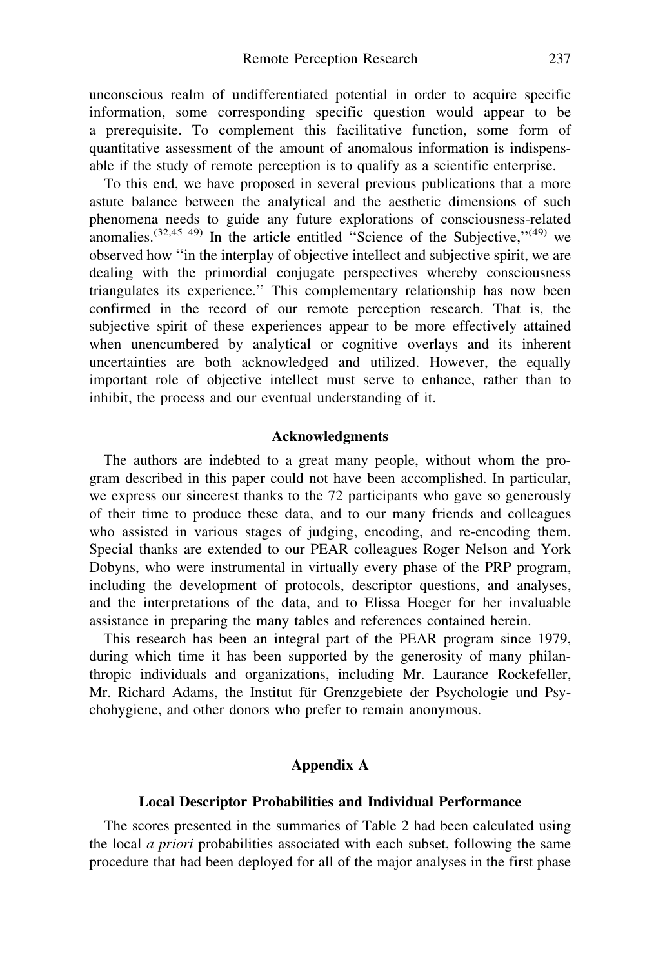unconscious realm of undifferentiated potential in order to acquire specific information, some corresponding specific question would appear to be a prerequisite. To complement this facilitative function, some form of quantitative assessment of the amount of anomalous information is indispensable if the study of remote perception is to qualify as a scientific enterprise.

To this end, we have proposed in several previous publications that a more astute balance between the analytical and the aesthetic dimensions of such phenomena needs to guide any future explorations of consciousness-related anomalies.<sup>(32,45–49)</sup> In the article entitled "Science of the Subjective,"<sup>(49)</sup> we observed how ''in the interplay of objective intellect and subjective spirit, we are dealing with the primordial conjugate perspectives whereby consciousness triangulates its experience.'' This complementary relationship has now been confirmed in the record of our remote perception research. That is, the subjective spirit of these experiences appear to be more effectively attained when unencumbered by analytical or cognitive overlays and its inherent uncertainties are both acknowledged and utilized. However, the equally important role of objective intellect must serve to enhance, rather than to inhibit, the process and our eventual understanding of it.

### Acknowledgments

The authors are indebted to a great many people, without whom the program described in this paper could not have been accomplished. In particular, we express our sincerest thanks to the 72 participants who gave so generously of their time to produce these data, and to our many friends and colleagues who assisted in various stages of judging, encoding, and re-encoding them. Special thanks are extended to our PEAR colleagues Roger Nelson and York Dobyns, who were instrumental in virtually every phase of the PRP program, including the development of protocols, descriptor questions, and analyses, and the interpretations of the data, and to Elissa Hoeger for her invaluable assistance in preparing the many tables and references contained herein.

This research has been an integral part of the PEAR program since 1979, during which time it has been supported by the generosity of many philanthropic individuals and organizations, including Mr. Laurance Rockefeller, Mr. Richard Adams, the Institut für Grenzgebiete der Psychologie und Psychohygiene, and other donors who prefer to remain anonymous.

# Appendix A

#### Local Descriptor Probabilities and Individual Performance

The scores presented in the summaries of Table 2 had been calculated using the local a priori probabilities associated with each subset, following the same procedure that had been deployed for all of the major analyses in the first phase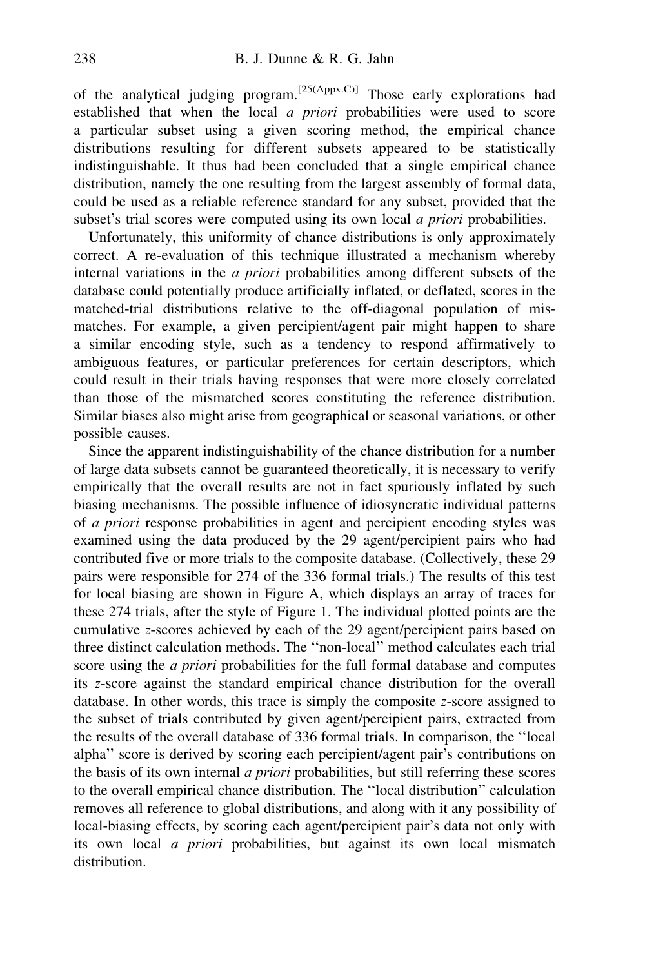of the analytical judging program.<sup>[25(Appx.C)]</sup> Those early explorations had established that when the local a priori probabilities were used to score a particular subset using a given scoring method, the empirical chance distributions resulting for different subsets appeared to be statistically indistinguishable. It thus had been concluded that a single empirical chance distribution, namely the one resulting from the largest assembly of formal data, could be used as a reliable reference standard for any subset, provided that the subset's trial scores were computed using its own local *a priori* probabilities.

Unfortunately, this uniformity of chance distributions is only approximately correct. A re-evaluation of this technique illustrated a mechanism whereby internal variations in the a priori probabilities among different subsets of the database could potentially produce artificially inflated, or deflated, scores in the matched-trial distributions relative to the off-diagonal population of mismatches. For example, a given percipient/agent pair might happen to share a similar encoding style, such as a tendency to respond affirmatively to ambiguous features, or particular preferences for certain descriptors, which could result in their trials having responses that were more closely correlated than those of the mismatched scores constituting the reference distribution. Similar biases also might arise from geographical or seasonal variations, or other possible causes.

Since the apparent indistinguishability of the chance distribution for a number of large data subsets cannot be guaranteed theoretically, it is necessary to verify empirically that the overall results are not in fact spuriously inflated by such biasing mechanisms. The possible influence of idiosyncratic individual patterns of a priori response probabilities in agent and percipient encoding styles was examined using the data produced by the 29 agent/percipient pairs who had contributed five or more trials to the composite database. (Collectively, these 29 pairs were responsible for 274 of the 336 formal trials.) The results of this test for local biasing are shown in Figure A, which displays an array of traces for these 274 trials, after the style of Figure 1. The individual plotted points are the cumulative z-scores achieved by each of the 29 agent/percipient pairs based on three distinct calculation methods. The ''non-local'' method calculates each trial score using the *a priori* probabilities for the full formal database and computes its z-score against the standard empirical chance distribution for the overall database. In other words, this trace is simply the composite z-score assigned to the subset of trials contributed by given agent/percipient pairs, extracted from the results of the overall database of 336 formal trials. In comparison, the ''local alpha'' score is derived by scoring each percipient/agent pair's contributions on the basis of its own internal a priori probabilities, but still referring these scores to the overall empirical chance distribution. The ''local distribution'' calculation removes all reference to global distributions, and along with it any possibility of local-biasing effects, by scoring each agent/percipient pair's data not only with its own local a priori probabilities, but against its own local mismatch distribution.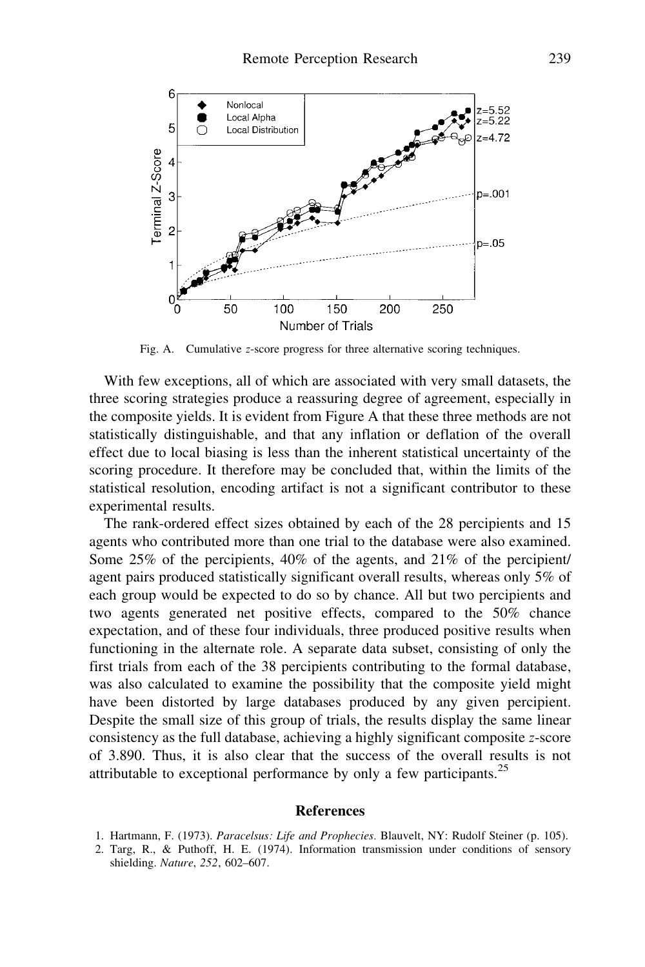

Fig. A. Cumulative z-score progress for three alternative scoring techniques.

With few exceptions, all of which are associated with very small datasets, the three scoring strategies produce a reassuring degree of agreement, especially in the composite yields. It is evident from Figure A that these three methods are not statistically distinguishable, and that any inflation or deflation of the overall effect due to local biasing is less than the inherent statistical uncertainty of the scoring procedure. It therefore may be concluded that, within the limits of the statistical resolution, encoding artifact is not a significant contributor to these experimental results.

The rank-ordered effect sizes obtained by each of the 28 percipients and 15 agents who contributed more than one trial to the database were also examined. Some 25% of the percipients, 40% of the agents, and 21% of the percipient/ agent pairs produced statistically significant overall results, whereas only 5% of each group would be expected to do so by chance. All but two percipients and two agents generated net positive effects, compared to the 50% chance expectation, and of these four individuals, three produced positive results when functioning in the alternate role. A separate data subset, consisting of only the first trials from each of the 38 percipients contributing to the formal database, was also calculated to examine the possibility that the composite yield might have been distorted by large databases produced by any given percipient. Despite the small size of this group of trials, the results display the same linear consistency as the full database, achieving a highly significant composite z-score of 3.890. Thus, it is also clear that the success of the overall results is not attributable to exceptional performance by only a few participants.<sup>25</sup>

#### References

- 1. Hartmann, F. (1973). Paracelsus: Life and Prophecies. Blauvelt, NY: Rudolf Steiner (p. 105).
- 2. Targ, R., & Puthoff, H. E. (1974). Information transmission under conditions of sensory shielding. Nature, 252, 602–607.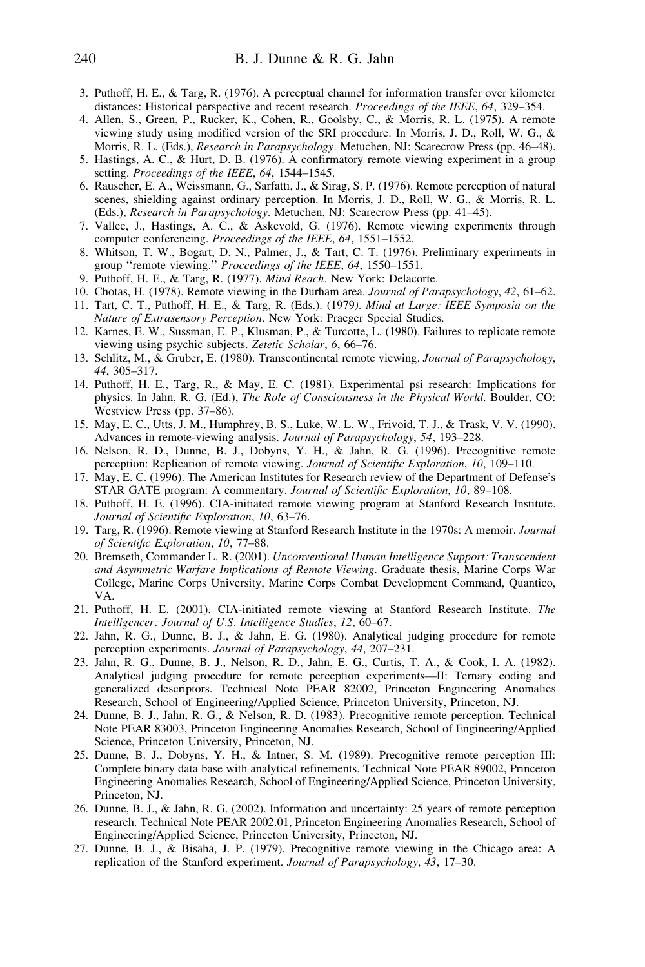- 3. Puthoff, H. E., & Targ, R. (1976). A perceptual channel for information transfer over kilometer distances: Historical perspective and recent research. Proceedings of the IEEE, 64, 329–354.
- 4. Allen, S., Green, P., Rucker, K., Cohen, R., Goolsby, C., & Morris, R. L. (1975). A remote viewing study using modified version of the SRI procedure. In Morris, J. D., Roll, W. G., & Morris, R. L. (Eds.), Research in Parapsychology. Metuchen, NJ: Scarecrow Press (pp. 46–48).
- 5. Hastings, A. C., & Hurt, D. B. (1976). A confirmatory remote viewing experiment in a group setting. Proceedings of the IEEE, 64, 1544-1545.
- 6. Rauscher, E. A., Weissmann, G., Sarfatti, J., & Sirag, S. P. (1976). Remote perception of natural scenes, shielding against ordinary perception. In Morris, J. D., Roll, W. G., & Morris, R. L. (Eds.), Research in Parapsychology. Metuchen, NJ: Scarecrow Press (pp. 41–45).
- 7. Vallee, J., Hastings, A. C., & Askevold, G. (1976). Remote viewing experiments through computer conferencing. Proceedings of the IEEE, 64, 1551–1552.
- 8. Whitson, T. W., Bogart, D. N., Palmer, J., & Tart, C. T. (1976). Preliminary experiments in group "remote viewing." Proceedings of the IEEE, 64, 1550-1551.
- 9. Puthoff, H. E., & Targ, R. (1977). Mind Reach. New York: Delacorte.
- 10. Chotas, H. (1978). Remote viewing in the Durham area. Journal of Parapsychology, 42, 61–62.
- 11. Tart, C. T., Puthoff, H. E., & Targ, R. (Eds.). (1979). Mind at Large: IEEE Symposia on the Nature of Extrasensory Perception. New York: Praeger Special Studies.
- 12. Karnes, E. W., Sussman, E. P., Klusman, P., & Turcotte, L. (1980). Failures to replicate remote viewing using psychic subjects. Zetetic Scholar, 6, 66-76.
- 13. Schlitz, M., & Gruber, E. (1980). Transcontinental remote viewing. Journal of Parapsychology, 44, 305–317.
- 14. Puthoff, H. E., Targ, R., & May, E. C. (1981). Experimental psi research: Implications for physics. In Jahn, R. G. (Ed.), The Role of Consciousness in the Physical World. Boulder, CO: Westview Press (pp. 37–86).
- 15. May, E. C., Utts, J. M., Humphrey, B. S., Luke, W. L. W., Frivoid, T. J., & Trask, V. V. (1990). Advances in remote-viewing analysis. Journal of Parapsychology, 54, 193-228.
- 16. Nelson, R. D., Dunne, B. J., Dobyns, Y. H., & Jahn, R. G. (1996). Precognitive remote perception: Replication of remote viewing. Journal of Scientific Exploration, 10, 109–110.
- 17. May, E. C. (1996). The American Institutes for Research review of the Department of Defense's STAR GATE program: A commentary. Journal of Scientific Exploration, 10, 89-108.
- 18. Puthoff, H. E. (1996). CIA-initiated remote viewing program at Stanford Research Institute. Journal of Scientific Exploration, 10, 63–76.
- 19. Targ, R. (1996). Remote viewing at Stanford Research Institute in the 1970s: A memoir. Journal of Scientific Exploration, 10, 77–88.
- 20. Bremseth, Commander L. R. (2001). Unconventional Human Intelligence Support: Transcendent and Asymmetric Warfare Implications of Remote Viewing. Graduate thesis, Marine Corps War College, Marine Corps University, Marine Corps Combat Development Command, Quantico, VA.
- 21. Puthoff, H. E. (2001). CIA-initiated remote viewing at Stanford Research Institute. The Intelligencer: Journal of U.S. Intelligence Studies, 12, 60–67.
- 22. Jahn, R. G., Dunne, B. J., & Jahn, E. G. (1980). Analytical judging procedure for remote perception experiments. Journal of Parapsychology, 44, 207-231.
- 23. Jahn, R. G., Dunne, B. J., Nelson, R. D., Jahn, E. G., Curtis, T. A., & Cook, I. A. (1982). Analytical judging procedure for remote perception experiments—II: Ternary coding and generalized descriptors. Technical Note PEAR 82002, Princeton Engineering Anomalies Research, School of Engineering/Applied Science, Princeton University, Princeton, NJ.
- 24. Dunne, B. J., Jahn, R. G., & Nelson, R. D. (1983). Precognitive remote perception. Technical Note PEAR 83003, Princeton Engineering Anomalies Research, School of Engineering/Applied Science, Princeton University, Princeton, NJ.
- 25. Dunne, B. J., Dobyns, Y. H., & Intner, S. M. (1989). Precognitive remote perception III: Complete binary data base with analytical refinements. Technical Note PEAR 89002, Princeton Engineering Anomalies Research, School of Engineering/Applied Science, Princeton University, Princeton, NJ.
- 26. Dunne, B. J., & Jahn, R. G. (2002). Information and uncertainty: 25 years of remote perception research. Technical Note PEAR 2002.01, Princeton Engineering Anomalies Research, School of Engineering/Applied Science, Princeton University, Princeton, NJ.
- 27. Dunne, B. J., & Bisaha, J. P. (1979). Precognitive remote viewing in the Chicago area: A replication of the Stanford experiment. Journal of Parapsychology, 43, 17–30.